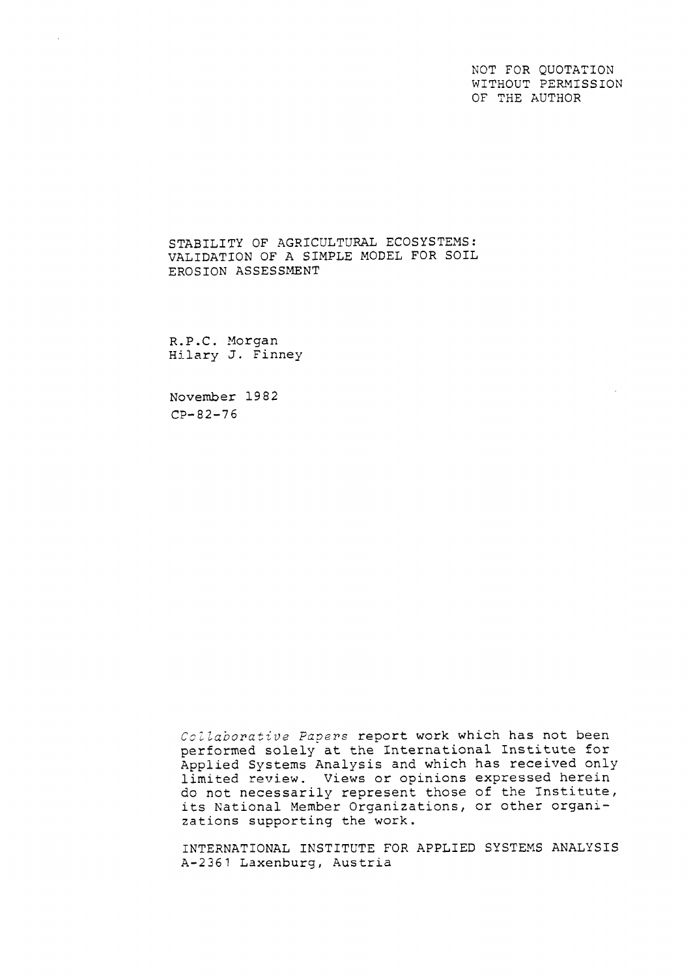NOT FOR QUOTATION WITHOUT PERMISSION OF THE AUTHOR

STABILITY OF AGRICULTURAL ECOSYSTEMS: VALIDATION OF A SIMPLE MODEL FOR SOIL EROSION ASSESSMENT

R.P.C. Morgan Hilary J. Finney

November 19 82 CP-82-76

Collaborative Papers report work which has not been performed solely at the International Institute for Applied Systems Analysis and which has received only limited review. Views or opinions expressed herein do not necessarily represent those of the Institute, its National Member Organizations, or other organizations supporting the work.

INTERNATIONAL INSTITUTE FOR APPLIED SYSTEXS ANALYSIS A-2361 Laxenburg, Austria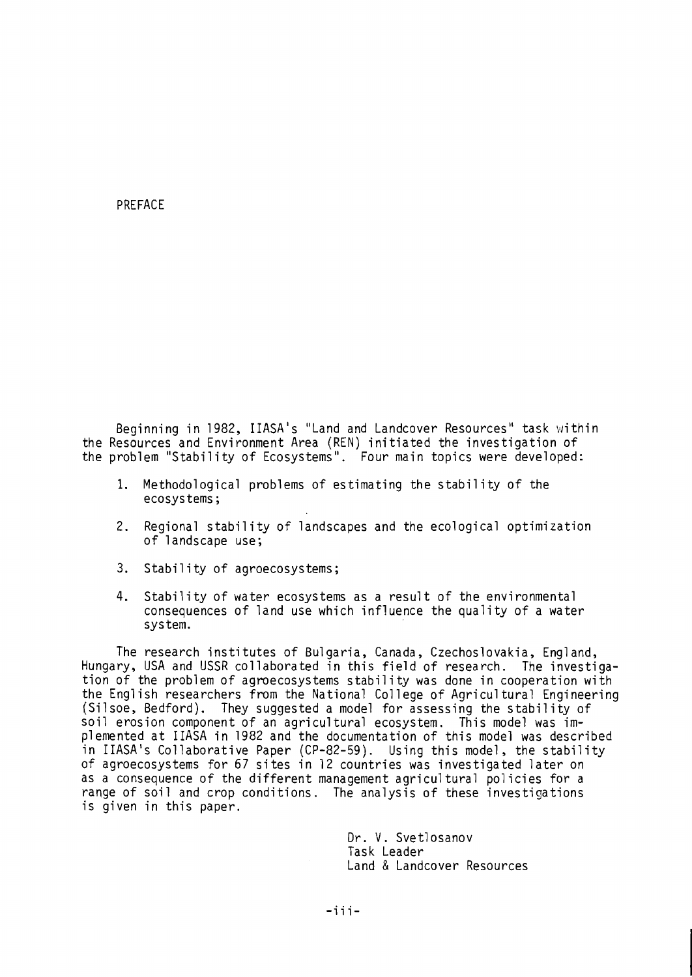### PREFACE

Beginning in 1982, IIASA's "Land and Landcover Resources" task within the Resources and Environment Area (REN) initiated the investigation of the problem "Stability of Ecosystems". Four main topics were developed:

- 1. Methodological problems of estimating the stability of the ecosys tems ;
- 2. Regional stability of landscapes and the ecological optimization of landscape use;
- 3. Stability of agroecosystems;
- 4. Stability of water ecosystems as a result of the environmental consequences of land use which influence the quality of a water system.

The research institutes of Bulgaria, Canada, Czechoslovakia, England, Hungary, USA and USSR collaborated in this field of research. The investigation of the problem of agroecosystems stability was done in cooperation with the English researchers from the National Coll ege of Agricul tural Engineering (Silsoe, Bedford). They suggested a model for assessing the stability of soil erosion component of an agricultural ecosystem. This model was implemented at IIASA in 1982 and the documentation of this model was described in IIASA's Collaborative Paper (CP-82-59). Using this model, the stabil ity of agroecosystems for 67 sites in 12 countries was investigated 1 ater on as a consequence of the different management agricultural policies for a range of soil and crop conditions. The analysis of these investigations is given in this paper.

> Dr. V. Svetlosanov Task Leader Land & Landcover Resources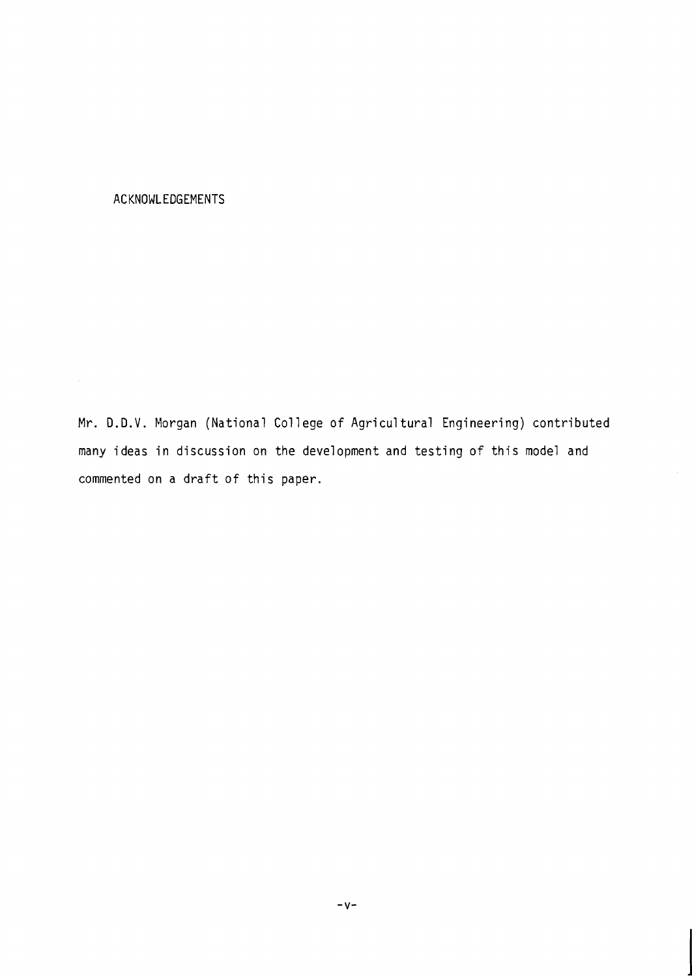## ACKNOWLEDGEMENTS

 $\epsilon$ 

Mr. D.D.V. Morgan (National College of Agricultural Engineering) contributed many ideas in discussion on the development and testing of this model and commented on a draft of this paper.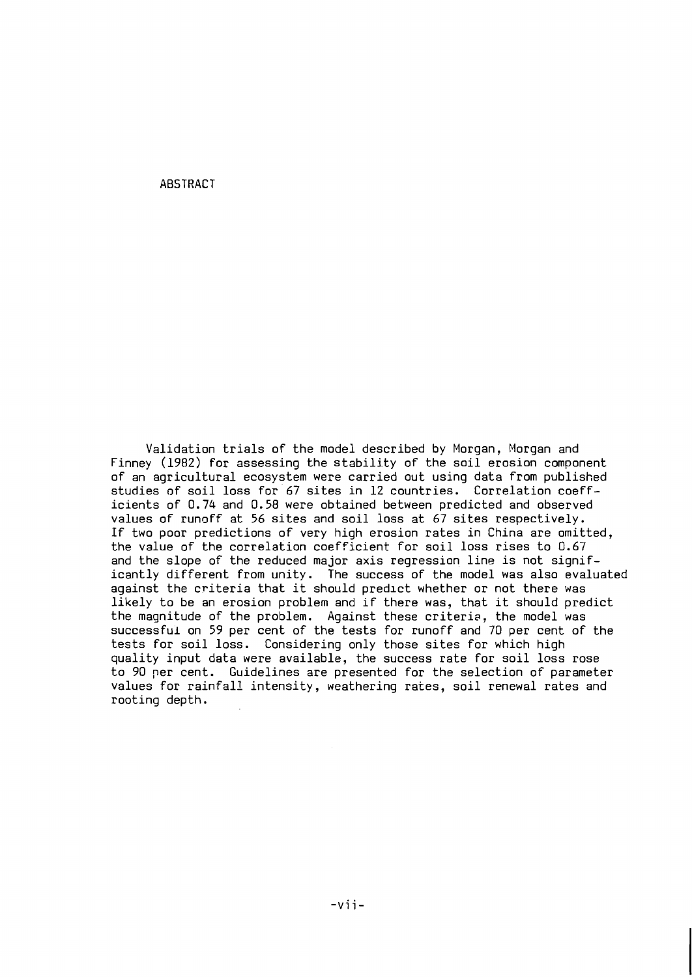ABSTRACT

Validation trials of the model described by Morgan, Morgan and Finney (1982) for assessing the stability of the soil erosion component of an agricultural ecosystem were carried out using data from published studies of soil loss for 67 sites in 12 countries. Correlation coefficients of 0.74 and 0.58 were obtained between predicted and observed values of runoff at 56 sites and soil loss at 67 sites respectively. If two poor predictions of very high erosion rates in China are omitted, the value of the correlation coefficient for soil loss rises to 0.67 and the slope of the reduced major axis regression line is not significantly different from unity. The success of the model was also evaluated against the criteria that it should predlct whether or not there was likely to be an erosion problem and if there was, that it should predict the magnitude of the problem. Against these criteria, the model was successful on 59 per cent of the tests for runoff and 70 per cent of the tests for soil loss. Considering only those sites for which high quality input data were available, the success rate for soil loss rose to 90 per cent. Guidelines are presented for the selection of parameter values for rainfall intensity, weathering rates, soil renewal rates and rooting depth.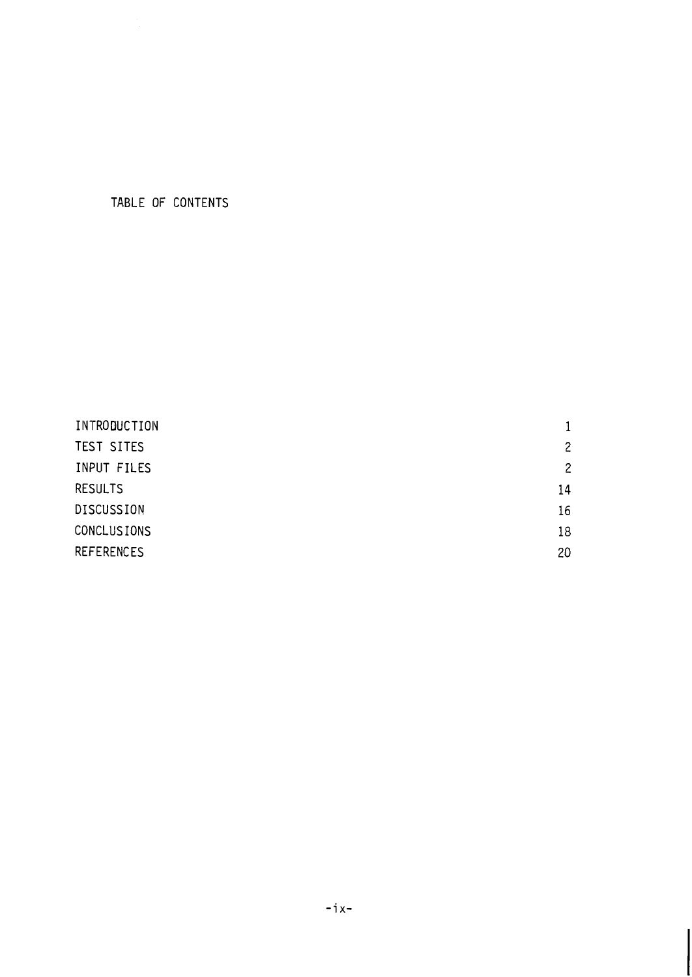# TABLE OF CONTENTS

| INTRODUCTION       |                |
|--------------------|----------------|
| TEST SITES         | $\overline{c}$ |
| INPUT FILES        | $\overline{c}$ |
| <b>RESULTS</b>     | 14             |
| <b>DISCUSSION</b>  | 16             |
| <b>CONCLUSIONS</b> | 18             |
| <b>REFERENCES</b>  | 20             |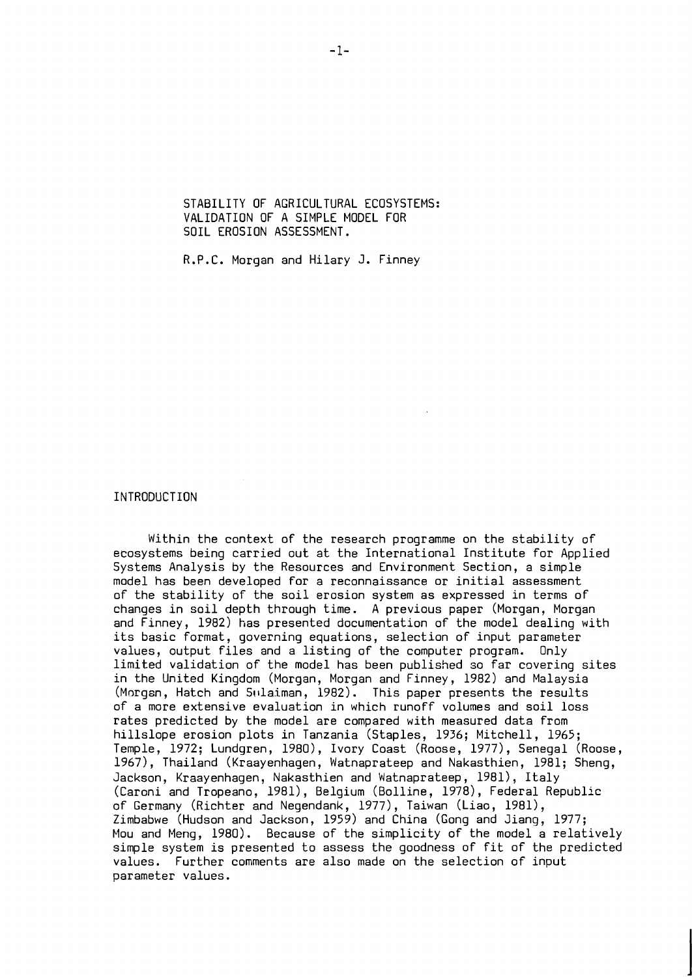STABILITY OF AGRICULTURAL ECOSYSTEMS: VALIDATION OF A SIMPLE MODEL FOR SOIL EROSION ASSESSMENT.

R.P.C. Morgan and Hilary J. Finney

### INTRODUCTION

Within the context of the research programme on the stability of ecosystems being carried out at the International Institute for Applied Systems Analysis by the Resources and Environment Section, a simple model has been developed for a reconnaissance or initial assessment of the stability of the soil erosion system as expressed in terms of changes in soil depth through time. A previous paper (Morgan, Morgan and Finney, 1982) has presented documentation of the model dealing with its basic format, governing equations, selection of input parameter values, output files and a listing of the computer program. Only limited validation of the model has been published so far covering sites in the United Kingdom (Morgan, Morgan and Finney, 1982) and Malaysia (Morgan, Hatch and Swlaiman, 1982). This paper presents the results of a more extensive evaluation in which runoff volumes and soil loss rates predicted by the model are compared with measured data from hillslope erosion plots in Tanzania (Staples, 1936; Mitchell, 1965; Temple, 1972; Lundgren, 1980), Ivory Coast (Roose, 1977), Senegal (Roose, 1967), Thailand (Kraayenhagen, Watnaprateep and Nakasthien, 1981; Sheng, Jackson, Kraayenhagen, Nakasthien and Watnaprateep, 1981), Italy (Caroni and Tropeano, 1981), Belgium (Bolline, 1978), Federal Republic of Germany (Richter and Negendank, 1977), Taiwan (Liao, 1981), Zimbabwe (Hudson and Jackson, 1959) and China (Gong and Jiang, 1977; Mou and Meng, 1980). Because of the simplicity of the model a relatively simple system is presented to assess the goodness of fit of the predicted values. Further comments are also made on the selection of input parameter values.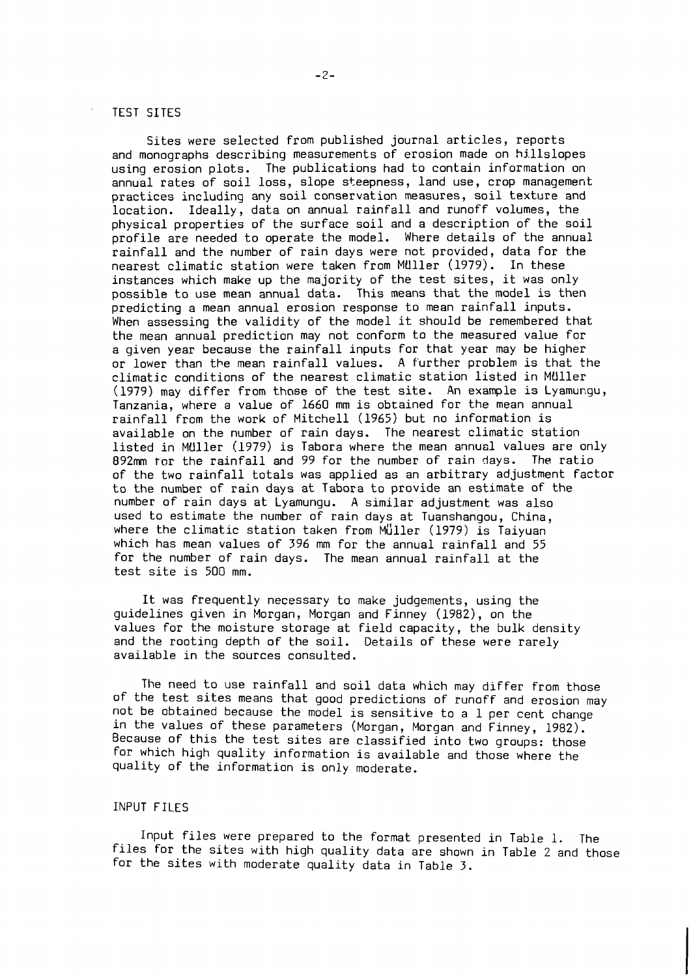### TEST SITES

Sites were selected from published journal articles, reports and monographs describing measurements of erosion made on hillslopes using erosion plots. The publications had to contain information on annual rates of soil loss, slope steepness, land use, crop management practices including any soil conservation measures, soil texture and location. Ideally, data on annual rainfall and runoff volumes, the physical properties of the surface soil and a description of the soil profile are needed to operate the model. Where details of the annual rainfall and the number of rain days were not provided, data for the nearest climatic station were taken from MUller (1979). In these instances which make up the majority of the test sites, it was only possible to use mean annual data. This means that the model is then predicting a mean annual erosion response to mean rainfall inputs. When assessing the validity of the model it should be remembered that the mean annual prediction may not conform to the measured value for a given year because the rainfall inputs for that year may be higher or lower than the mean rainfall values. A further problem is that the climatic conditions of the nearest climatic station listed in MUller (1979) may differ from those of the test site. An example is Lyamungu, Tanzania, where a value of 1660 mm is obtained for the mean annual rainfall from the work of Mitchell (1965) but no information is available on the number of rain days. The nearest climatic station listed in MUller (1979) is Tabora where the mean annual values are only 892mm tor the rainfail and 99 for the number of rain days. The ratio of the two rainfall totals was applied as an arbitrary adjustment factor to the number of rain days at Tabora to provide an estimate of the number of rain days at Lyamungu. A similar adjustment was also used to estimate the number of rain days at Tuanshangou, China, where the climatic station taken from  $M'$ uller (1979) is Taiyuan which has mean values of 396 mm for the annual rainfall and 55 for the number of rain days. The mean annual rainfall at the test site is 500 mm.

It was frequently necessary to make judgements, using the guidelines given in Morgan, Morgan and Finney (1982), on the values for the moisture storage at field capacity, the bulk density and the rooting depth of the soil. Details of these were rarely available in the sources consulted.

The need to use rainfall and soil data which may differ from those of the test sites means that good predictions of runoff and erosion may not be obtained because the model is sensitive to a 1 per cent change in the values of these parameters (Morgan, Morgan and Finney, 1982). Because of this the test sites are classified into two groups: those for which high quality information is available and those where the quality of the information is only moderate.

### INPUT FILES

Input files were prepared to the format presented in Table 1. The files for the sites with high quality data are shown in Table 2 and those for the sites with moderate quality data in Table 3.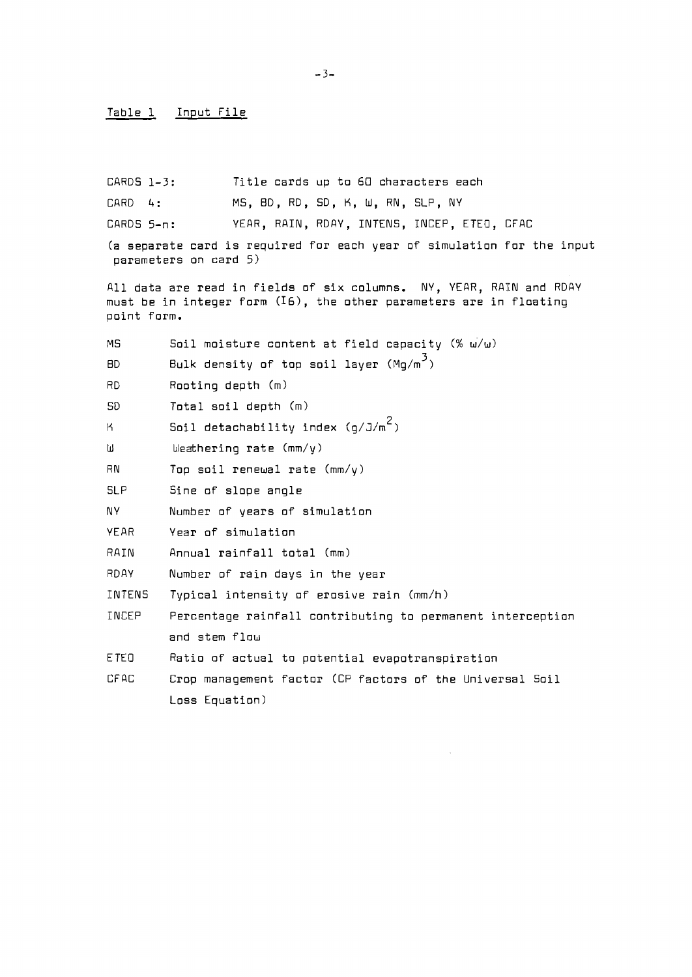#### Table 1 Input File

CARDS 1-3: Title cards up to 60 characters each

CARD 4: MS, ED, RD, SD, K, W, RN, SLP, NY

CARDS 5-n: YEAR, RAIN, RDAY, INTENS, INCEP, ETEO, CFAC

(a separate card is required for each year of simulation for the input parameters on card 5)

All data are read in fields of six columns. NY, YEAR, RAIN and RDAY must be in integer form **(IS),** the other parameters are in floating point form.

MS Soil moisture content at field capacity  $% w/w$ ) BD  $\qquad$  Bulk density of top soil layer (Mg/m<sup>3</sup>) RD Rooting depth (m) SD Total soil depth (m) **K**2 Soil detachability index (g/J/m<sup>2</sup>) W bleathering rate (mm/y)  $RN$  Top soil renewal rate  $\text{(mm/y)}$ SLP Sine of slope angle NY Number of years of simulation YEAR Year of simulation RAIN Annual rainfall total (mm) RDAY Number of rain days in the year INTENS Typical intensity of erosive rain (mm/h) INCEP Percentage rainfall contributing to permanent interception and stem flow ETEO Ratio of actual to potential evapotranspiration CFAC Crop management factor (CP factors of the Universal Soil Loss Equation)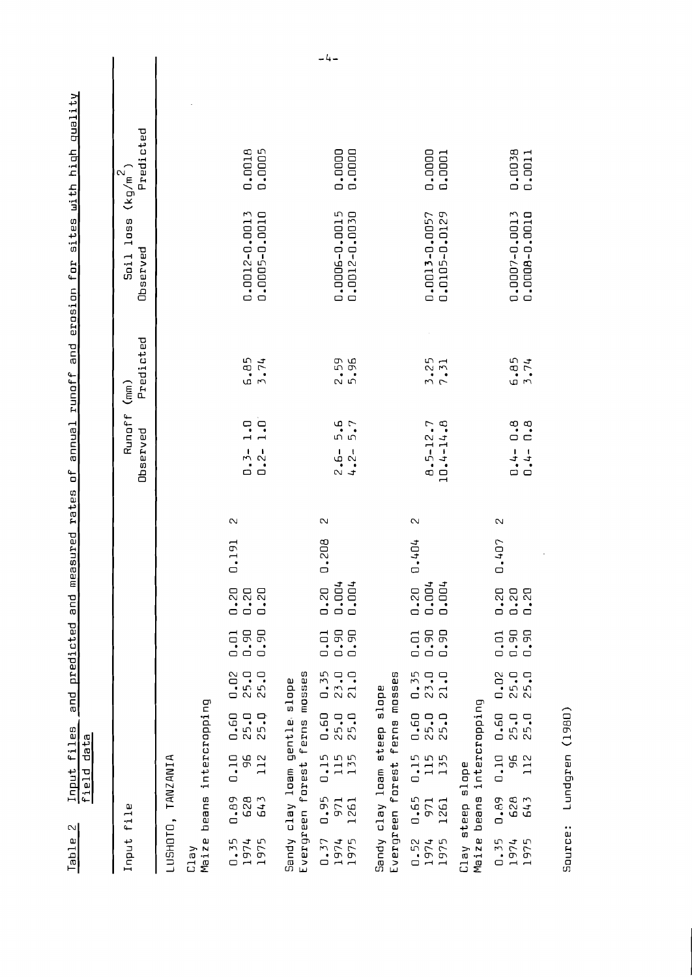<u>Input files and predicted and measured rates of annual runoff and erosion for sites with high quality</u><br>field data Table 2

| Input file                                          |                                                        |                                                              |                                                            |                                                                                                   |                                                             |                           |       |              | Runoff (mm)<br>Observed                                   | Predicted    | loss<br>Observed<br>Soil         | Predicted<br>$(kg/m^2)$ |  |
|-----------------------------------------------------|--------------------------------------------------------|--------------------------------------------------------------|------------------------------------------------------------|---------------------------------------------------------------------------------------------------|-------------------------------------------------------------|---------------------------|-------|--------------|-----------------------------------------------------------|--------------|----------------------------------|-------------------------|--|
| LUSHOTO,                                            |                                                        | <b>TANZANIA</b>                                              |                                                            |                                                                                                   |                                                             |                           |       |              |                                                           |              |                                  |                         |  |
| $\Box$<br>Maize<br>Clay                             | eans                                                   |                                                              | intercropping                                              |                                                                                                   |                                                             |                           |       |              |                                                           |              |                                  |                         |  |
| 0.35<br>1974<br>975<br>$\overline{\phantom{0}}$     | Ō<br>Σ<br>628<br>64<br>$\mathbf{a}$<br>○               | 0.10<br>96<br>112                                            | ▭<br>0.60<br><b>25.0</b><br>$\overline{5}$<br>$\sim$       | $0.02$<br>25.0<br>25.0                                                                            | $\overline{a}$<br>0.90<br>0.90<br>$\Box$                    | $\frac{20}{1.20}$<br>0.20 | 0.191 | $\mathbb{N}$ | $\overline{1}$ .<br>$\overline{1}$ .<br>$0.3-$<br>$0.2 -$ | 6.85<br>3.74 | 0.0012-0.0013<br>0.0005-0-2000.0 | 0.0005<br>0.0018        |  |
| Sandy clay<br>Evergreen f                           | clay loam                                              | forest                                                       | gentle.<br>ferns                                           | ω<br>mosse<br>$_{\rm slope}$                                                                      |                                                             |                           |       |              |                                                           |              |                                  |                         |  |
| 1975<br>$-37$<br>1974<br>0                          | 5<br>971<br>261<br>ō,<br>▭<br>$\overline{\phantom{0}}$ | $-15$<br>115<br>135<br>0                                     | 0.60<br>25.0                                               | 5<br>23.0<br>▭<br>$\overline{0.3}$<br>$\overline{21.0}$                                           | 0.90<br>OG.<br>$\overline{1}$<br>Ō<br>$\Box$                | 0.004<br>0.004<br>0.20    | 0.208 | N            | 5.6<br>5.7<br>$2.6 - 2$                                   | 2.59<br>5.96 | 0.0006-0.0015<br>0.0012-0.0030   | 0.0000<br>0.0000        |  |
| Sandy clay loam<br>Evergreen                        |                                                        | forest                                                       | ferns<br>steep                                             | m<br>ω<br>moss<br>ω<br>slopr                                                                      |                                                             |                           |       |              |                                                           |              |                                  |                         |  |
| 975<br>.52<br>1974<br>$\overline{\phantom{0}}$<br>▭ | -65<br>971<br>261<br>O<br>$\overline{\phantom{0}}$     | $\cdot$ 15<br>115<br>$\sqrt{2}$<br>$\overline{13}$<br>$\Box$ | ▭<br>▭<br>▭<br>$\overline{a}$ .<br>25.1<br>$\bullet$<br>25 | ш٦<br>$\Box$<br>▭<br>$\frac{3!}{2!}$<br>$\overline{\phantom{a}}$<br>$\frac{1}{2}$<br>23<br>$\Box$ | 50<br><b>D.SO</b><br>$\ddot{c}$<br>$\bullet$<br>▭<br>$\Box$ | 0.004<br>0.004<br>0.20    | 1.404 | Z            | 10.4-14.8<br>$B.5 - 12.7$                                 | 3.25<br>7.31 | 0.0105-0.0129<br>0.0013-0.0057   | 0.0000<br>0.0001        |  |
| Maize<br>Clay                                       | beans<br>steep                                         | $_{\rm slope}$                                               | intercropping                                              |                                                                                                   |                                                             |                           |       |              |                                                           |              |                                  |                         |  |
| 0.35<br>1974<br>1975                                | 62B<br>643<br>69<br>0                                  | 96<br>112<br>0.10                                            | 0.60<br>25.0<br>5.0<br>$\sim$                              | 0.02<br>25.0<br>▭<br>25.1                                                                         | De.<br>DG <sup>•</sup><br>0.01<br>$\hfill \Box$<br>$\Box$   | 0.20<br>0.20<br>0.20      | 0.407 | $\sim$       | 0.8<br>0.8<br>$\frac{1}{1}$ , 1<br>0<br>0                 | 6.85<br>5.74 | 0.0007-0.0013<br>0.0008-0.0010   | 0.0038<br>0.0011        |  |

Source: Lundgren (1980)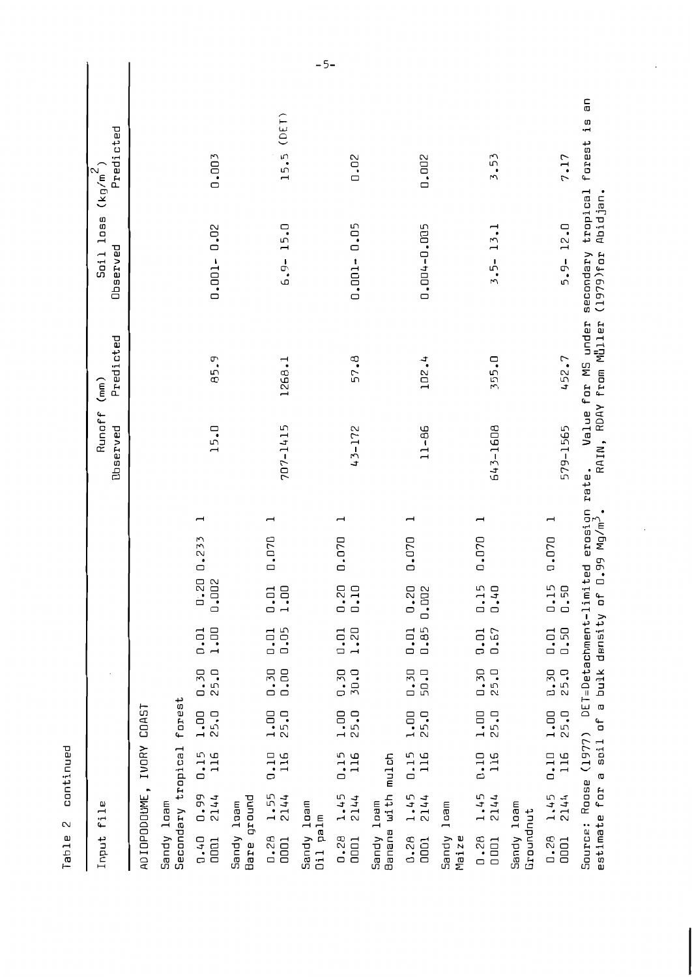| nput file                                                                                                                                              | Runoff<br><b>Observed</b> | Predicted<br>(mn)                            | Soil loss<br>Observed                          | Predicted<br>$(kg/m^2)$        |
|--------------------------------------------------------------------------------------------------------------------------------------------------------|---------------------------|----------------------------------------------|------------------------------------------------|--------------------------------|
| IVORY COAST<br>ADIOPODOUME,                                                                                                                            |                           |                                              |                                                |                                |
| Secondary tropical forest<br>Gandy loam                                                                                                                |                           |                                              |                                                |                                |
| $\overline{\phantom{0}}$<br>0.233<br>0.002<br>0.20<br>1.00<br>0.01<br>0.30<br>25.0<br>25.0<br>1.00<br>0.15<br>116<br>0.99<br>2144<br>0.40<br>DOD1      | 15.0                      | 85.9                                         | $0.001 - 0.02$                                 | 0.003                          |
| Bare ground<br>Gandy loam                                                                                                                              |                           |                                              |                                                |                                |
| $\overline{\phantom{0}}$<br>0.070<br>1.00<br>0.01<br>0.05<br>0.01<br>0.00<br>0.30<br>1.00<br>25.0<br>$\frac{115}{116}$<br>1.55<br>2144<br>0.28<br>DOD1 | 707-1415                  | 1268.1                                       | 15.0<br>$-6.3-$                                | (DEI)<br>15.5                  |
| Gandy loam<br>Jil palm                                                                                                                                 |                           |                                              |                                                | $-5-$                          |
| ⊣<br>0.070<br>0.20<br>0.10<br>1.20<br>0.01<br><b>J.O.D</b><br>0.30<br>25.0<br>1.00<br>0.15<br>116<br>1.45<br>2144<br>0.28<br>D <sub>1</sub>            | 43-172                    | 57.8                                         | $0.001 - 0.05$                                 | 0.02                           |
| Sandy loam<br>Janana with mulch                                                                                                                        |                           |                                              |                                                |                                |
| ⊣<br>0.070<br>0.20<br>0.002<br>0.85<br>0.01<br>0.30<br>50.0<br>25.0<br>1.00<br>0.15<br>116<br>1.45<br>2144<br>0.28<br>0001                             | $11 - 86$                 | 102.4                                        | 0.004-0.005                                    | 0.002                          |
| $1$ oam<br>Sandy<br>Maize                                                                                                                              |                           |                                              |                                                |                                |
| $\overline{\phantom{0}}$<br>0.070<br>0.15<br>0.40<br>0.67<br>0.01<br>0.30<br>25.D<br>1.00<br>25.0<br>0.10<br>116<br>1.45<br>2144<br>0.28<br>0001       | 643-1608                  | 355.0                                        | $3.5 - 13.1$                                   | 3.53                           |
| Sandy loam<br><b>Induction</b>                                                                                                                         |                           |                                              |                                                |                                |
| $\overline{a}$<br>0.070<br>0.15<br>0.50<br>0.50<br>0.01<br>0.30<br>25.0<br>25.0<br>1.00<br>116<br>0.10<br>1.45<br>2144<br>0.28<br>0001                 | 579-1565                  | 452.7                                        | $5.9 - 12.0$                                   | 7.17                           |
| Source: Roose (1977) DET=Detachment-limited erosion rate.<br>sstimate for a soil of a bulk density of 0.99 Mg/m <sup>3</sup> .     R <i>I</i>          |                           | Value for MS under<br>RAIN, RDAY from Muller | secondary tropical<br>Abidjan.<br>$(1979)$ for | 듮<br>$\frac{1}{1}$ S<br>forest |

Table 2 continued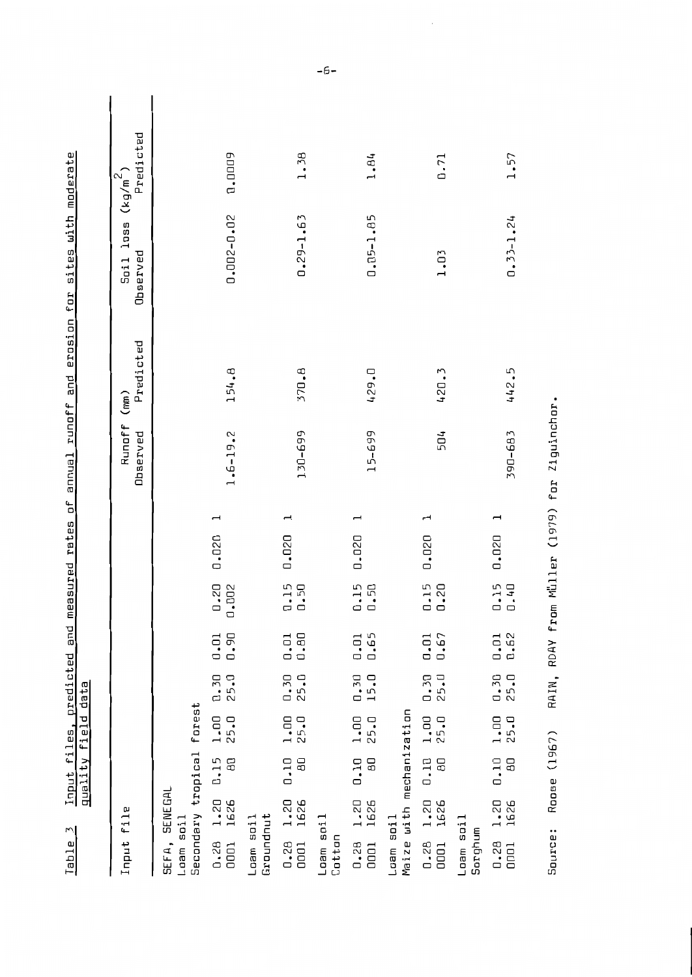| $\overline{z}$<br>Table                          |              | quality field          |                  | Input files, predicted<br>data | and                 |                                    | measured rates | ЪĻ | annual runoff      | erosion for<br>and | sites with moderate          |                         |  |
|--------------------------------------------------|--------------|------------------------|------------------|--------------------------------|---------------------|------------------------------------|----------------|----|--------------------|--------------------|------------------------------|-------------------------|--|
|                                                  |              |                        |                  |                                |                     |                                    |                |    |                    |                    |                              |                         |  |
| Input file                                       |              |                        |                  |                                |                     |                                    |                |    | Runoff<br>Observed | Predicted<br>(mn)  | <b>Soil</b> loss<br>Observed | Predicted<br>$(kg/m^2)$ |  |
| Secondary tropical<br>SEFA, SENEGAL<br>Loam soil |              |                        | forest           |                                |                     |                                    |                |    |                    |                    |                              |                         |  |
| 0.28<br>0001                                     | 1.20<br>1626 | 0.15<br>$\theta$       | 1.00<br>25.0     | $0.30$<br>25.0                 | 0.90<br>0.01        | $0.20$<br>$.002$<br>$\overline{a}$ | 0.020          | ⊣  | $1.6 - 19.2$       | 154.8              | 0.002-0.02                   | 0.0009                  |  |
| Groundnut<br>Loam soil                           |              |                        |                  |                                |                     |                                    |                |    |                    |                    |                              |                         |  |
| 0.28<br>0001                                     | 1.20<br>1626 | 0.10<br>$\overline{a}$ | $\frac{1}{25.0}$ | $0.30$<br>25.0                 | 0.80<br>0.01        | $\frac{15}{0.50}$                  | 0.020          |    | 130-699            | 370.8              | $0.29 - 1.63$                | 1.38                    |  |
| Loam soil<br>Cotton                              |              |                        |                  |                                |                     |                                    |                |    |                    |                    |                              |                         |  |
| 0.28<br>0001                                     | 1.20<br>1626 | 0.10<br>80             | $\frac{1}{25.0}$ | $\frac{0.30}{15.0}$            | $\frac{0.01}{0.65}$ | $\frac{1}{1}$ , 50                 | 0.020          | ⊣  | 15-699             | 429.0              | $0.05 - 1.85$                | 1.84                    |  |
| Maize with mechanization<br>Loam soil            |              |                        |                  |                                |                     |                                    |                |    |                    |                    |                              |                         |  |
| $0.28$<br>0001                                   | 1.20<br>1626 | 0.10<br>BO             | $\frac{1}{25.0}$ | $0.30$<br>25.0                 | 0.67<br>0.01        | 0.15<br>0.20                       | 0.020          | ⊣  | 504                | 420.3              | 1.03                         | 0.71                    |  |
| Loam soil<br>Sorghum                             |              |                        |                  |                                |                     |                                    |                |    |                    |                    |                              |                         |  |
| 0.28<br>0001                                     | 1.20<br>1626 | 0.10<br>$\overline{a}$ | $\frac{1}{25.0}$ | $\frac{1}{25.0}$               | $\frac{1}{1}$ .62   | $\frac{1}{1}$ .40                  | 0.020          | ⊣  | 390-683            | 442.5              | $0.33 - 1.24$                | 1.57                    |  |
|                                                  |              |                        |                  |                                |                     |                                    |                |    |                    |                    |                              |                         |  |

RAIN, RDAY from Müller (1979) for Ziguinchor. Source: Roose (1967)

 $-6-$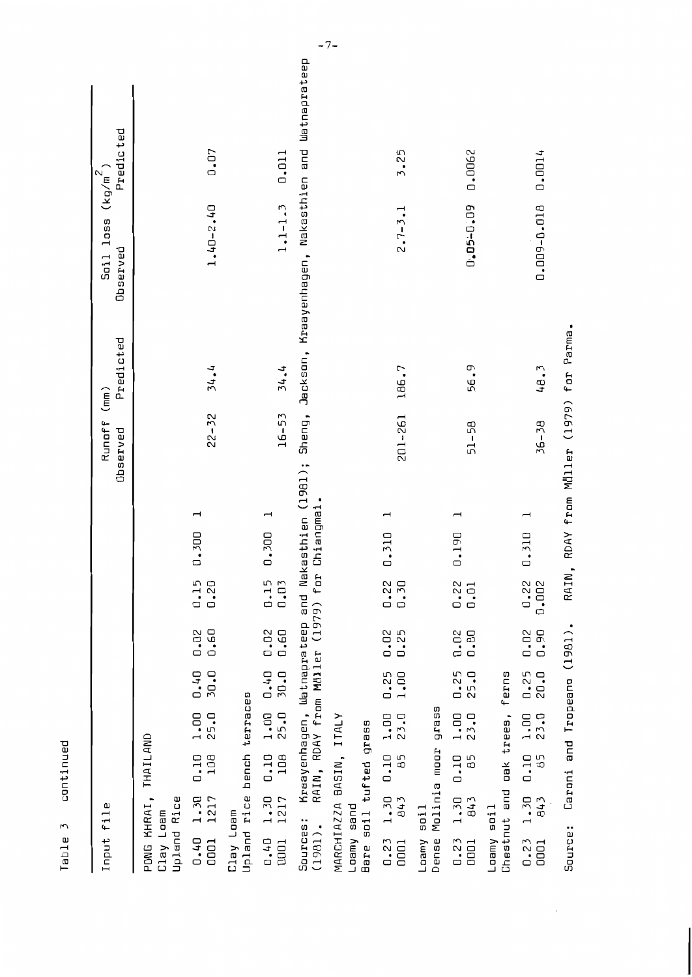| Input file                                                                                                                                                            | Runoff (mm)<br>Observed            | Predicted<br>Soil loss $(kg/m^2)$<br>Observed<br>Predicted                                                  |
|-----------------------------------------------------------------------------------------------------------------------------------------------------------------------|------------------------------------|-------------------------------------------------------------------------------------------------------------|
| THAILAND<br>PONG KHRAI,<br>Upland Rice<br>Clay Loam                                                                                                                   |                                    |                                                                                                             |
| ⊣<br>0.300<br>0.15<br>0.20<br>0.60<br>0.02<br>0.40<br>30.0<br>$1.00$<br>25.0<br>108<br>0.10<br>1217<br>1.30<br>0.40<br>0001                                           | $22 - 32$                          | 0.07<br>$1.40 - 2.40$<br>34.4                                                                               |
| bench terraces<br>Upland rice<br>Clay Loam                                                                                                                            |                                    |                                                                                                             |
| 0.300<br>0.15<br>0.03<br>0.02<br>0.60<br>30.0<br>0.40<br>1.00<br>25.0<br>108<br>0.10<br>1.30<br>1217<br>0.40<br>0001                                                  | $16 - 53$                          | 0.011<br>$1.1 - 1.3$<br>14.4                                                                                |
| Chiangmai.<br>RAIN, RDAY from MUller (1979) for<br>Sources:<br>$(1981)$ .                                                                                             |                                    | Kraayenhagen, Watnaprateep and Nakasthien (1981); Sheng, Jackson, Kraayenhagen, Nakasthien and Watnaprateep |
| MARCHIAZZA BASIN, ITALY<br>Bare soil tufted grass<br>Loamy sand                                                                                                       |                                    |                                                                                                             |
| $\overline{\phantom{0}}$<br>0.310<br>0.22<br>0.30<br>0.25<br>0.02<br>1.00<br>0.25<br>$\frac{1}{2}$ .00<br>1.30 0.10<br>$\overline{\mathbf{B}}$<br>843<br>0.23<br>0001 | 186.7<br>201-261                   | 3.25<br>$2.7 - 3.1$                                                                                         |
| prass<br>moor<br>Molinia<br>$\sin 1$<br>Loamy<br>Dense                                                                                                                |                                    |                                                                                                             |
| 0.190<br>0.22<br>0.01<br>0.02<br>0.80<br>0.25<br>25.0<br>1.00<br>23.0<br>0.10<br>85<br>1.30<br>843<br>0.23<br>0001                                                    | 51-58                              | 0.0062<br>0.05-0.09<br>56.9                                                                                 |
| ferns<br>Chestnut and oak trees,<br>Loamy soil                                                                                                                        |                                    |                                                                                                             |
| 0.310<br>0.22<br>0.002<br>0.02<br>0.90<br>$0.25$<br>20.0<br>$\frac{1}{2}$ .00<br>0.10<br>85<br>1.30<br>843<br>0.23<br>0001                                            | $36 - 38$                          | 0.0014<br>0.009-0.018<br>48.3                                                                               |
| RAIN<br>Caroni and Tropeano (1981).<br>Source:                                                                                                                        | RDAY from Muller (1979) for Parma. |                                                                                                             |

Table 3 continued

 $\langle$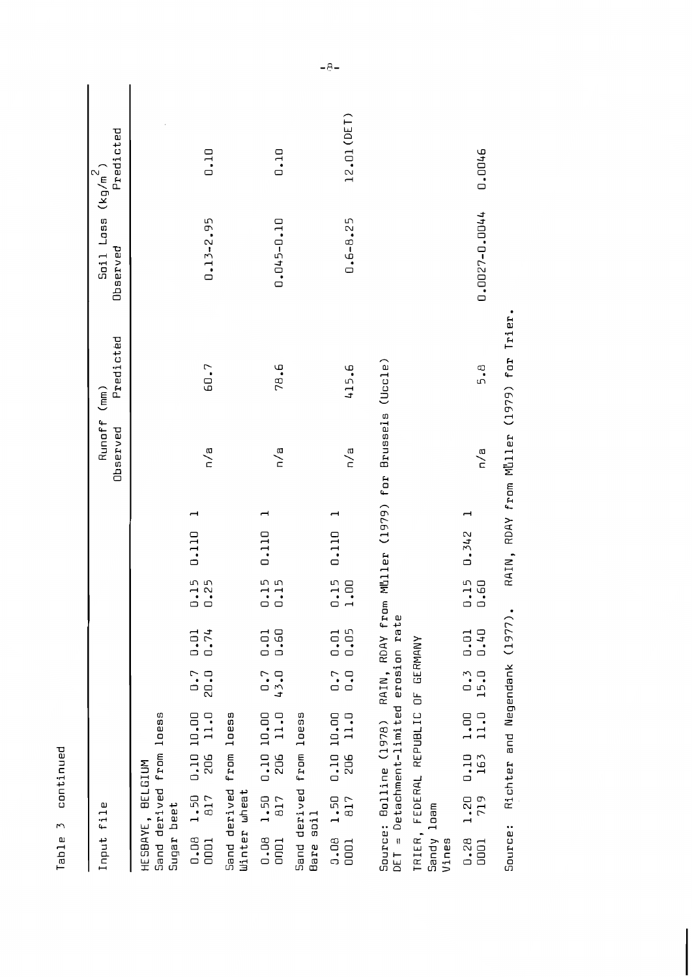| Ď  |
|----|
|    |
|    |
|    |
|    |
|    |
|    |
|    |
|    |
|    |
| Ч  |
| t  |
|    |
|    |
|    |
|    |
|    |
|    |
| r  |
|    |
|    |
| נם |
|    |
|    |
|    |
|    |
|    |

| Input file                                                                                                                                | Runoff (mm)<br>Observed | Predicted                                | Soil Loss $(\kappa_g/\mathfrak{m}^2)$<br>Doserved | Predicted   |
|-------------------------------------------------------------------------------------------------------------------------------------------|-------------------------|------------------------------------------|---------------------------------------------------|-------------|
| Sand derived from loess<br>BELGIUM<br>Sugar beet<br>HESBAYE,                                                                              |                         |                                          |                                                   |             |
| 0.110<br>$0.15$<br>$0.25$<br>$\frac{1}{10}$ . 01<br>$0.7$<br>20.0<br>$0.10 10.00$<br>206 11.0<br>1.50<br><b>817</b><br>0.08<br>0001       | n/a                     | 60.7                                     | $0.13 - 2.95$                                     | 0.10        |
| Sand derived from loess<br>Winter wheat                                                                                                   |                         |                                          |                                                   |             |
| 0.110<br>0.15<br>0.15<br>0.60<br>0.01<br>0.7<br>43.0<br>206 11.0<br>0.10 10.00<br>$0.08$ 1.50<br><b>B17</b><br>DOO1                       | n/a                     | 78.6                                     | 0.045-0.10                                        | 0.10        |
| Sand derived from loess<br>soil<br>Bare                                                                                                   |                         |                                          |                                                   |             |
| ⊣<br>0.110<br>0.15<br>1.00<br>0.05<br>0.01<br>0.7<br>$\mathbf{0}$ . $\mathbf{0}$<br>0.10 10.00<br>206 11.0<br>1.50<br>817<br>0.08<br>0001 | n/a                     | 415.6                                    | $0.6 - 8.25$                                      | 12.01 (DET) |
|                                                                                                                                           |                         |                                          |                                                   |             |
| RAIN, RDAY from Müller (1979) for Brussels<br>DET = Detachment-limited erosion rate<br>Source: Bolline (1978)                             |                         | (Uccle)                                  |                                                   |             |
| TRIER, FEDERAL REPUBLIC OF GERMANY<br>Sandy loam<br>Vines                                                                                 |                         |                                          |                                                   |             |
| 0.342<br>$0.15$<br>$0.60$<br>0.40<br>0.01<br>$\frac{0.3}{15.0}$<br>$\frac{1}{11.0}$<br>$\frac{0.10}{163}$<br>1.20<br>719<br>0.28<br>0001  | n/a                     | 5.B                                      | 0.0027-0.0044                                     | 0.0046      |
| Richter and Negendank (1977).<br>Source:                                                                                                  |                         | RAIN, RDAY from Müller (1979) for Trier. |                                                   |             |

 $-8-$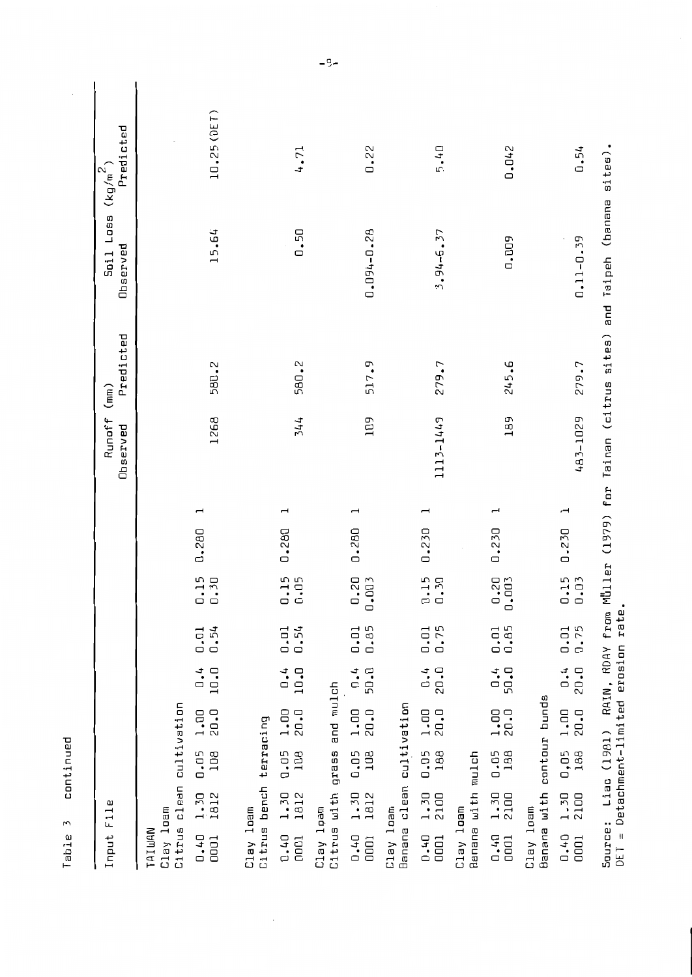| о        |
|----------|
| ω        |
|          |
|          |
| ī        |
|          |
| E        |
| <u>ព</u> |
|          |
|          |
|          |
|          |
| r<br>r   |
|          |
| ω        |
| ۰        |
| n        |
| п        |

⊢

| ω<br>Fil<br>Input                          |               |               |                |                                                      |                                             |       |                          | Runoff<br>Observed                      | Predicted<br>(mm) | Soil Loss<br>Observed | Predicted<br>$(kg/m^2)$ |
|--------------------------------------------|---------------|---------------|----------------|------------------------------------------------------|---------------------------------------------|-------|--------------------------|-----------------------------------------|-------------------|-----------------------|-------------------------|
| Citrus clean<br>Clay loam<br><b>NUMINI</b> |               | cultivation   |                |                                                      |                                             |       |                          |                                         |                   |                       |                         |
| 1.30<br>1812<br>0.40<br>0001               | $0.05$<br>108 | 20.0<br>1.00  | 1.1<br>10.0    | 0.54<br>0.01                                         | .15<br>$\frac{0.15}{0.30}$                  | 0.280 | $\overline{\phantom{0}}$ | 1268                                    | 580.2             | 15.64                 | 10.25 (DET)             |
| Citrus bench<br>Clay loam                  |               | terracing     |                |                                                      |                                             |       |                          |                                         |                   |                       |                         |
| 1812<br>1.30<br>0.40<br>0001               | 108<br>0.05   | 1.00<br>20.0  | 1.4<br>10.0    | 0.54<br>0.01                                         | $\frac{15}{0.05}$                           | 0.280 | $\overline{\phantom{0}}$ | 344                                     | 580.2             | 0.50                  | 4.71                    |
| Citrus with<br>Clay loam                   | grass         | and mulch     |                |                                                      |                                             |       |                          |                                         |                   |                       |                         |
| 1.30<br>1812<br>0.40<br>0001               | 0.05<br>108   | 20.0<br>1.00  | 1.4<br>50.0    | 0.85<br>0.01                                         | $\cdot$ <sub>20</sub><br>003<br>$\Box$<br>ā | 0.280 | $\overline{\phantom{0}}$ | <b>FD1</b>                              | 517.9             | 0.094-0.28            | 0.22                    |
| Banana clean<br>Clay loam                  |               | cultivation   |                |                                                      |                                             |       |                          |                                         |                   |                       |                         |
| 1.30<br>2100<br>0.40<br>0001               | 0.05<br>188   | 20.0<br>1.00  | $-1.0$<br>20.0 | $\frac{0.01}{0.75}$                                  | $\begin{array}{c} 0.15 \\ 0.30 \end{array}$ | 0.230 | $\overline{\phantom{0}}$ | 1113-1449                               | 279.7             | 3.94-6.37             | 5.40                    |
| Banana with<br>Clay loam                   | mulch         |               |                |                                                      |                                             |       |                          |                                         |                   |                       |                         |
| 1.30<br>2100<br>0.40<br>0001               | 0.05<br>188   | 1.00<br>20.0  | $-1.0$         | $\begin{smallmatrix} 0.01 \\ 0.85 \end{smallmatrix}$ | $0.20$<br>$0.003$                           | 0.230 | $\overline{\phantom{0}}$ | 189                                     | 245.6             | 0.009                 | 0.042                   |
| Banana with<br>Clay loam                   |               | contour bunds |                |                                                      |                                             |       |                          |                                         |                   |                       |                         |
| 1.30<br>2100<br>$0.40$<br>0001             | 188<br>0,05   | 20.0<br>1.00  | 20.0<br>$-1.0$ | 0.75<br>0.01                                         | $\frac{15}{0.03}$                           | 0.230 | $\overline{\phantom{0}}$ | 483-1029                                | 279.7             | $0.11 - 0.39$         | 0.54                    |
| Source:<br>H <sub>L</sub>                  | Liao (1981)   | .<br>د        | RAIN,          | RDAY from                                            |                                             |       |                          | Muller (1979) for Tainan (citrus sites) |                   | and Taipeh (banana    | sites).                 |

 $\hat{\mathcal{L}}$ 

DET = Detachment-limited erosion rate.

 $-9-$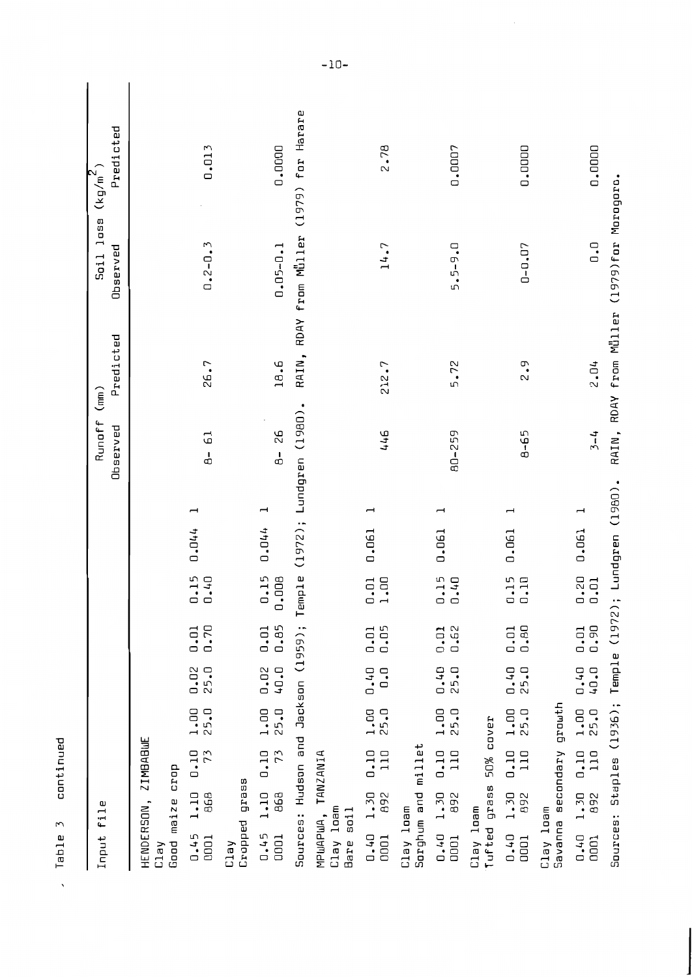| ロード<br>ū<br>conti |  |
|-------------------|--|
| ۴<br>١            |  |
| ω<br>≏<br>淸       |  |

| continued<br>3<br>Table<br>$\boldsymbol{\mathsf{v}}$                                                                                                                                |                     |                   |                                            |                                          |
|-------------------------------------------------------------------------------------------------------------------------------------------------------------------------------------|---------------------|-------------------|--------------------------------------------|------------------------------------------|
| file<br>Input                                                                                                                                                                       | Runoff<br>Observed  | Predicted<br>(mn) | Soil loss $(kg/m^2)$<br>Observed           | Predicted                                |
| ZIMBABULE<br>crop<br>maize<br>HENDERSON,<br>Good<br>Clay                                                                                                                            |                     |                   |                                            |                                          |
| $\overline{\phantom{0}}$<br>0.044<br>.15<br>$\overline{a}$<br>0.70<br>0.01<br>$0.02$<br>25.0<br>$1.00$<br>25.0<br>0.10<br>73<br>1.10<br>868<br>0.45<br>0001                         | $B-61$              | 26.7              | $0.2 - 0.3$                                | 0.013                                    |
| grass<br>Cropped<br>Clay                                                                                                                                                            |                     |                   |                                            |                                          |
| $\overline{\phantom{0}}$<br>0.044<br>$0.15$<br>$0.008$<br>0.85<br>0.01<br><b>40.0</b><br>0.02<br>25.0<br>1.00<br>0.10<br>73<br>1.10<br>868<br>0.45<br>0001                          | 92<br>$\frac{1}{2}$ | 18.6              | $0.05 - 0.1$                               | 0.0000                                   |
| Temple (1972); Lundgren (1980).<br>Sources: Hudson and Jackson (1959);                                                                                                              |                     |                   |                                            | RAIN, RDAY from Müller (1979) for Harare |
| MPUAPUA, TANZANIA<br>Clay loam<br>5011<br>Bare                                                                                                                                      |                     |                   |                                            |                                          |
| ⊣<br>0.061<br>OO.<br>$\begin{smallmatrix} 0.01 \\ 1.00 \end{smallmatrix}$<br>0.05<br>0.01<br>0.40<br>$\overline{0}$ .<br>1.00<br>25.0<br>0.10<br>110<br>892<br>1.30<br>0.40<br>0001 | 446                 | 212.7             | 14.7                                       | 2.78                                     |
| min11et<br>Sorghum and<br>Clay loam                                                                                                                                                 |                     |                   |                                            |                                          |
| ⊣<br>0.061<br>0.15<br>0.40<br>$0.01$<br>0.62<br>$0.40$<br>25.0<br>1.00<br>25.0<br>0.10<br>110<br>1.30<br>892<br>0.4.0<br>0001                                                       | 80-259              | 5.72              | 5.5-9.0                                    | 0.0007                                   |
| 50% cover<br>grass<br>Clay loam<br>Tufted                                                                                                                                           |                     |                   |                                            |                                          |
| ⊣<br>0.061<br>0.15<br>0.10<br>0.80<br>0.01<br>0.40<br>25.0<br>25.0<br>1.00<br>0.10<br>110<br>1.30<br>892<br>0.40<br>DOD1                                                            | $8 - 65$            | 2.9               | $0 - 0.07$                                 | 0.0000                                   |
| grouth<br>secondary<br>Clay loam<br>Bavanna                                                                                                                                         |                     |                   |                                            |                                          |
| ⊣<br>0.061<br>$\frac{20}{10}$<br>0.90<br>0.01<br>0.40<br><b>L-D+</b><br>1.00<br>25.0<br>$\frac{0.10}{110}$<br>1.30<br>892<br>0.40<br>0001                                           | $3 - 4$             | 2.04              | $\overline{0}$ .                           | 0.0000                                   |
| Lundgren (1980).<br>Temple $(1972)$ ;<br>Staples (1936);<br>Sources:                                                                                                                |                     |                   | RAIN, RDAY from Müller (1979)for Morogoro. |                                          |

 $-10-$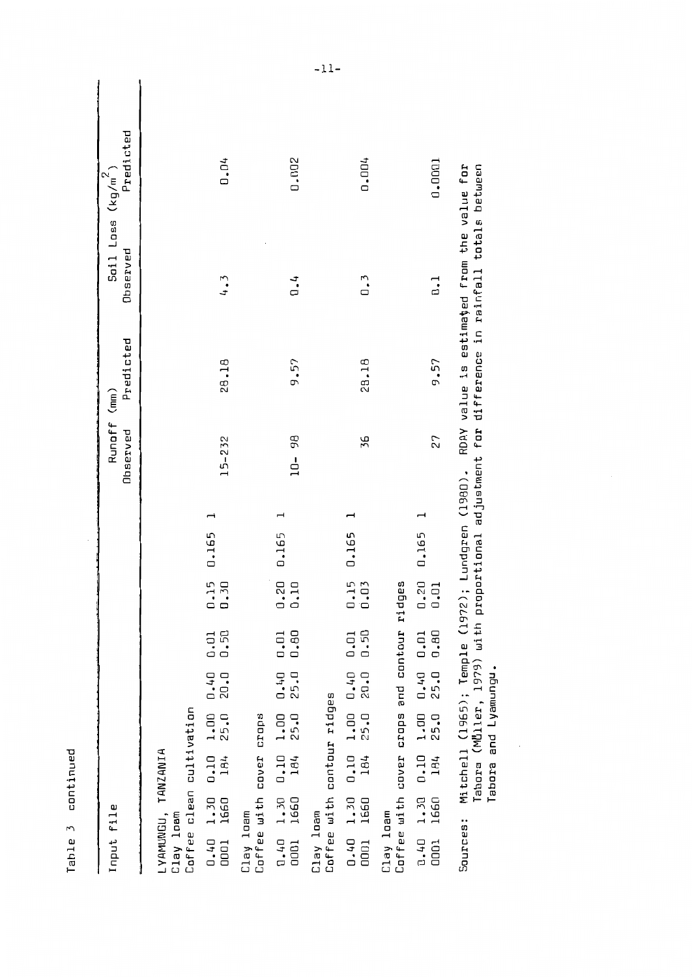| c<br>í<br>с<br>ē | ı<br>۵İ |
|------------------|---------|
|                  |         |
|                  | ω<br>۹  |
| £<br>O           | ŋ<br>п  |

| Input file                                                                                                                                         | Runoff (mm)<br>Observed | Predicted                 | Soil Loss $(kg/m^2)$<br>Observed                                 | Predicted |
|----------------------------------------------------------------------------------------------------------------------------------------------------|-------------------------|---------------------------|------------------------------------------------------------------|-----------|
| Coffee clean cultivation<br>LYAMUNGU, TANZANIA<br>Clay loam                                                                                        |                         |                           |                                                                  |           |
| 0.165<br>$\frac{15}{1.30}$<br>0.50<br>0.01<br>0.40<br>20.0<br>$1.00$<br>25.0<br>0.10<br>184<br>$0.40$ 1.30<br>0001 1660                            | $15 - 232$              | 28.18                     | 4.3                                                              | 0.04      |
| crops<br>Coffee with cover<br>Clay loam                                                                                                            |                         |                           |                                                                  |           |
| 0.165<br>$\frac{20}{10}$<br>0.80<br>0.01<br>$0.40$<br>25.0<br>$1.00$<br>25.0<br>$\frac{1}{184}$<br>$0.40$ $1.30$<br>0001 1660                      | 10- 98                  | 9.57                      | $\ddot{ }$ .                                                     | 0.002     |
| Coffee with contour ridges<br>Clay loam                                                                                                            |                         |                           |                                                                  |           |
| 0.165<br>0.15<br>0.03<br>0.50<br>0.01<br>1.00 0.40<br>20.0<br>25.0<br>0.10<br>184<br>0.40 1.30<br>1660<br>$\frac{1}{2}$                            | 36                      | 28.18                     | 0.3                                                              | 0.004     |
| Coffee with cover crops and contour ridges<br>Clay loam                                                                                            |                         |                           |                                                                  |           |
| 0.165<br>$\frac{1}{10}$ .01<br>0.80<br>0.40 0.01<br>25.0<br>1.00<br>25.0<br>$0.40$ 1.30 $0.10$<br>184<br>1660<br>10001                             | 27                      | 9.57                      | 0.0001<br>$\mathbf{C}$                                           |           |
| Mitchell (1965); Temple (1972); Lundgren (1980).<br>$-1.1 - 1.4$<br>$\ddot{ }$<br><b>Anno</b><br>$\sim$ Called $\sim$<br>$\frac{1}{r}$<br>Sources: | $\frac{1}{2}$           | $\frac{1}{2}$<br>12 A A L | RDAY value is estimated from the value for<br>نطمط متمطمه تتمفات |           |

Tabora (M<mark>ùller, 1979) with proportional adjustment for difference in rainfall totals between</mark><br>Tabora and Lyamungu. ທັ

 $\overline{\phantom{a}}$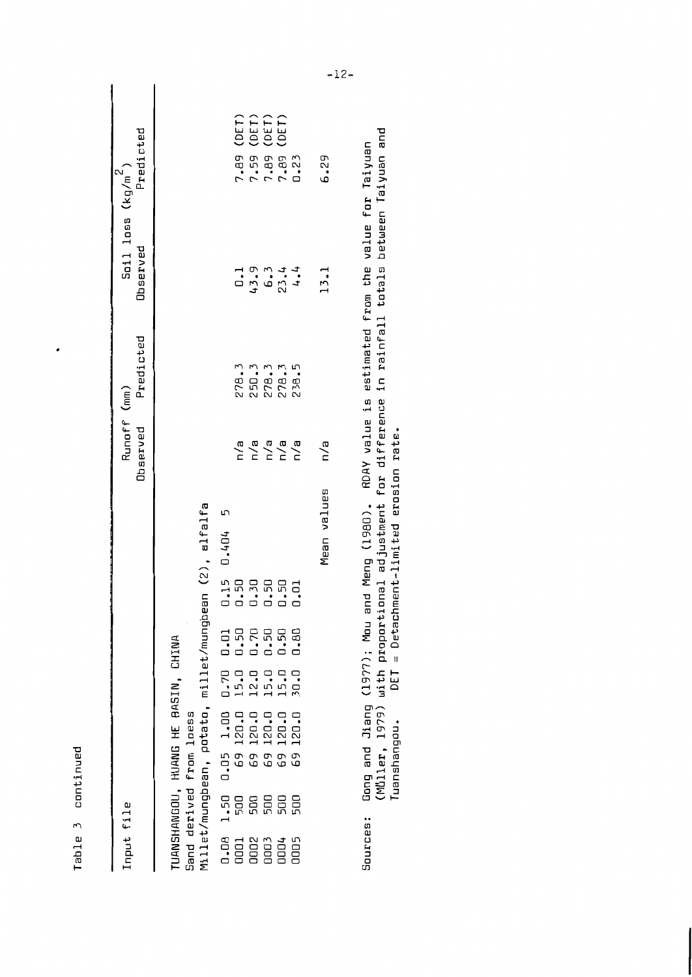| ⊐            |
|--------------|
| œ            |
|              |
|              |
| с            |
| ı            |
| ىب           |
| Έ            |
|              |
|              |
| ſ1           |
|              |
|              |
|              |
| ſ            |
|              |
| ω            |
| ⊣            |
|              |
| 品            |
|              |
| ŧ<br>$\cdot$ |
|              |

 $\cdot$ 

| Input file                                                                                                                                                                                                 | Runoff (mm)                                                  |                                 | $\frac{5 \text{d}1}{2 \text{d}1}$ loss (kg/m <sup>2</sup> ) |                                                              |
|------------------------------------------------------------------------------------------------------------------------------------------------------------------------------------------------------------|--------------------------------------------------------------|---------------------------------|-------------------------------------------------------------|--------------------------------------------------------------|
|                                                                                                                                                                                                            | <b>Observed</b>                                              | Predicted                       | <b>Observed</b>                                             | Predicted                                                    |
|                                                                                                                                                                                                            |                                                              |                                 |                                                             |                                                              |
| UANSHANGOU, HUANG HE BASIN, CHINA                                                                                                                                                                          |                                                              |                                 |                                                             |                                                              |
| Gand derived from loess                                                                                                                                                                                    |                                                              |                                 |                                                             |                                                              |
| 4illet/mungbean, potato, millet/mungbean (2), alfalfa                                                                                                                                                      |                                                              |                                 |                                                             |                                                              |
| $-15$ 0.404 5                                                                                                                                                                                              |                                                              |                                 |                                                             |                                                              |
| 50<br>$\begin{matrix} 0.70 & 0.01 \\ 15.0 & 0.50 \end{matrix}$<br>1,08 1,50 0.05 1,00 0<br>0001 500 69 120.0 1<br>0002 500 69 120.0 1<br>0003 500 69 120.0 1<br>0004 500 69 120.0 1<br>0005 500 69 120.0 3 | $\frac{a}{b}$                                                |                                 |                                                             |                                                              |
| $12.0$<br>$15.0$<br>$15.0$<br>$70.7$                                                                                                                                                                       | $\begin{array}{c}\n 2 \\  2 \\  0 \\  0 \\  0\n \end{array}$ | 78.3<br>25.35<br>27.35<br>28.38 |                                                             | <b>(DET)</b><br><b>(DET)</b><br><b>(DET)</b><br>7.59<br>7.59 |
| 0.50<br>0.50<br>0.50                                                                                                                                                                                       |                                                              |                                 |                                                             |                                                              |
| <b>RRR3</b>                                                                                                                                                                                                |                                                              |                                 |                                                             | 7.89<br>7.89<br>0.23                                         |
| 0.80                                                                                                                                                                                                       |                                                              |                                 |                                                             |                                                              |
| Mean values                                                                                                                                                                                                | n/a                                                          |                                 | 13.1                                                        | 6.29                                                         |
|                                                                                                                                                                                                            |                                                              |                                 |                                                             |                                                              |

Gong and Jiang (1977); Mou and Meng (1980). RDAY value is estimated from the value for Taiyuan<br>(MÜller, 1979) with proportional adjustment for difference in rainfall totals between Taiyuan and<br>Tuanshangou. DET = Detachme Sources: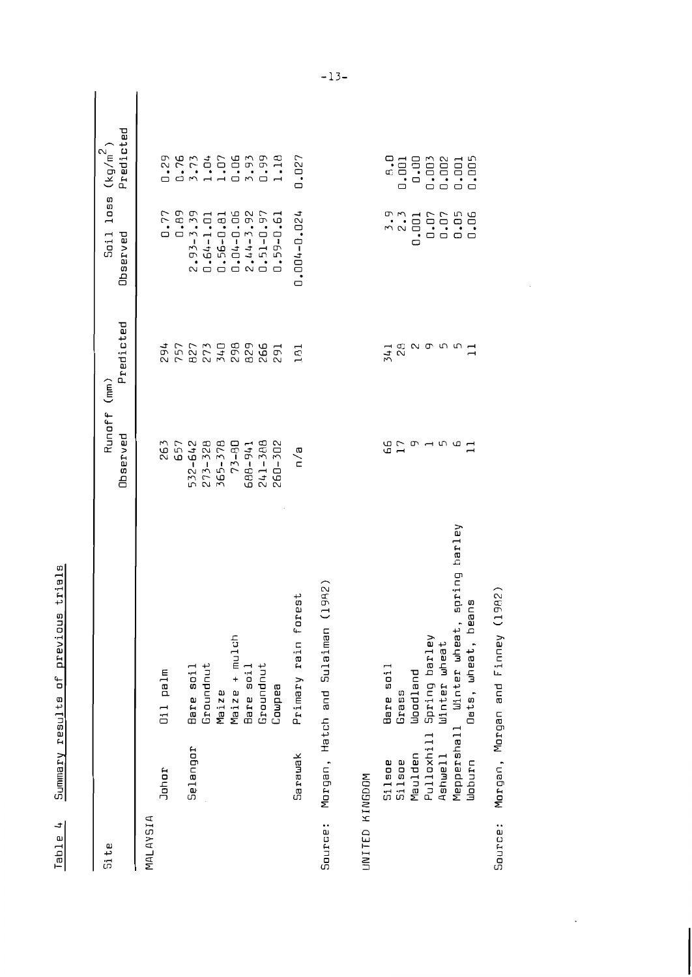| ៣<br>⊣<br>Ø<br>ŕ           |
|----------------------------|
| a<br>c<br>ų<br>۵<br>f<br>C |
| 4<br>õ                     |
| ወ<br>J<br>ł<br>a<br>ő<br>۴ |
| ء<br>0<br>ł<br>۱<br>ſ      |
| ¢<br>Ú<br>c<br>I           |

| Si te          |               |                                            | Runoff (mm)<br>Observed | Predicted         | Soil loss $(kg/m^2)$<br>Observed | Predicted |
|----------------|---------------|--------------------------------------------|-------------------------|-------------------|----------------------------------|-----------|
|                |               |                                            |                         |                   |                                  |           |
| MALAYSIA       |               |                                            |                         |                   |                                  |           |
|                | Johor         | Oil palm                                   | 263                     | 294               | 0.77                             | 0.29      |
|                |               |                                            | 657                     | 757               | 0.89                             | 0.76      |
|                | Selangor      | Bare soil                                  | 532-642                 |                   | $2.93 - 3.39$                    | 3.73      |
|                |               | Groundnut                                  | 273-328                 |                   | $0.64 - 1.01$                    | 1.04      |
|                |               | Maize                                      | 365-378                 | 827<br>273<br>340 | $0.56 - 0.81$                    | 1.07      |
|                |               | Maize + mulch                              | $73 - B0$               | 298<br>829        | $0.04 - 0.06$                    | 0.06      |
|                |               | Bare soil                                  | 688-941                 |                   | $2.44 - 3.92$                    | 3.93      |
|                |               | Groundnut                                  | 241-388                 | 266               | $0.51 - 0.97$                    | 0.99      |
|                |               | Coupea                                     | 260-302                 | 291               | 0.59-0.61                        | 1.18      |
|                | Sarawak       | 5t<br>Primary rain fore                    | n/a                     | $\Xi$             | 0.004-0.024                      | 0.027     |
| Source:        |               | 9R2)<br>Morgan, Hatch and Sulaiman (1      |                         |                   |                                  |           |
|                |               |                                            |                         |                   |                                  |           |
| UNITED KINGDOM |               |                                            |                         |                   |                                  |           |
|                | <b>Silsoe</b> | Bare soil                                  | ն<br>17                 | 341               |                                  | o<br>G    |
|                | Silsoe        | Grass                                      |                         | RB<br>29          | $\frac{3.9}{2.3}$                | 0.001     |
|                | Maulden       | <b>Woodland</b>                            |                         |                   | 0.001                            | 0.00      |
|                |               | Pulloxhill Spring barley                   | ന <b>പ</b> ന മ          | <b>NOLO</b>       | 0.07                             | 0.003     |
|                | Ashwell       | Winter wheat                               |                         |                   | 0.07                             | 0.002     |
|                |               | spring barley<br>Meppershall Winter wheat, |                         |                   | 0.05                             | 0.001     |
|                | udburn        | Oats, wheat, beans                         |                         |                   | 0.06                             | 0.005     |

Source: Morgan, Morgan and Finney (1982)

l,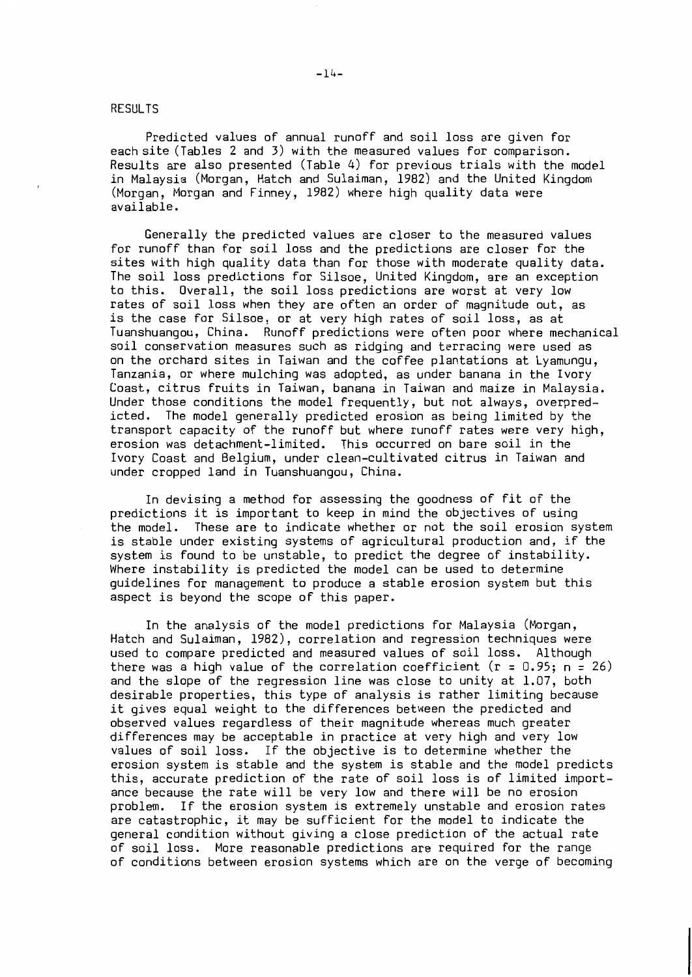### **RESULTS**

Predicted values of annual runoff and soil loss are given for each site (Tables 2 and 3) with the measured values for comparison. Results are also presented (Table 4) for previous trials with the model in Malaysia (Morgan, Hatch and Sulaiman, 1982) and the United Kingdom (Morgan, Morgan and Finney, 1982) where high quality data were available.

Generally the predicted values are closer to the measured values for runoff than for soil loss and the predictions are closer for the sites with high quality data than for those with moderate quality data. The soil loss predictions for Silsoe. United Kingdom, are an exception Overall, the soil loss predictions are worst at very low to this. rates of soil loss when they are often an order of magnitude out, as is the case for Silsoe, or at very high rates of soil loss, as at Tuanshuangou, China. Runoff predictions were often poor where mechanical soil conservation measures such as ridging and terracing were used as on the orchard sites in Taiwan and the coffee plantations at Lyamungu, Tanzania, or where mulching was adopted, as under banana in the Ivory Coast, citrus fruits in Taiwan, banana in Taiwan and maize in Malaysia. Under those conditions the model frequently, but not always, overpredicted. The model generally predicted erosion as being limited by the transport capacity of the runoff but where runoff rates were very high, erosion was detachment-limited. This occurred on bare soil in the Ivory Coast and Belgium, under clean-cultivated citrus in Taiwan and under cropped land in Tuanshuangou, China.

In devising a method for assessing the goodness of fit of the predictions it is important to keep in mind the objectives of using the model. These are to indicate whether or not the soil erosion system is stable under existing systems of agricultural production and, if the system is found to be unstable, to predict the degree of instability. Where instability is predicted the model can be used to determine quidelines for management to produce a stable erosion system but this aspect is beyond the scope of this paper.

In the analysis of the model predictions for Malaysia (Morgan, Hatch and Sulaiman, 1982), correlation and regression techniques were used to compare predicted and measured values of soil loss. Although there was a high value of the correlation coefficient ( $r = 0.95$ ;  $n = 26$ ) and the slope of the regression line was close to unity at 1.07, both desirable properties, this type of analysis is rather limiting because it gives equal weight to the differences between the predicted and observed values regardless of their magnitude whereas much greater differences may be acceptable in practice at very high and very low values of soil loss. If the objective is to determine whether the erosion system is stable and the system is stable and the model predicts this, accurate prediction of the rate of soil loss is of limited importance because the rate will be very low and there will be no erosion problem. If the erosion system is extremely unstable and erosion rates are catastrophic, it may be sufficient for the model to indicate the general condition without giving a close prediction of the actual rate of soil loss. More reasonable predictions are required for the range of conditions between erosion systems which are on the verge of becoming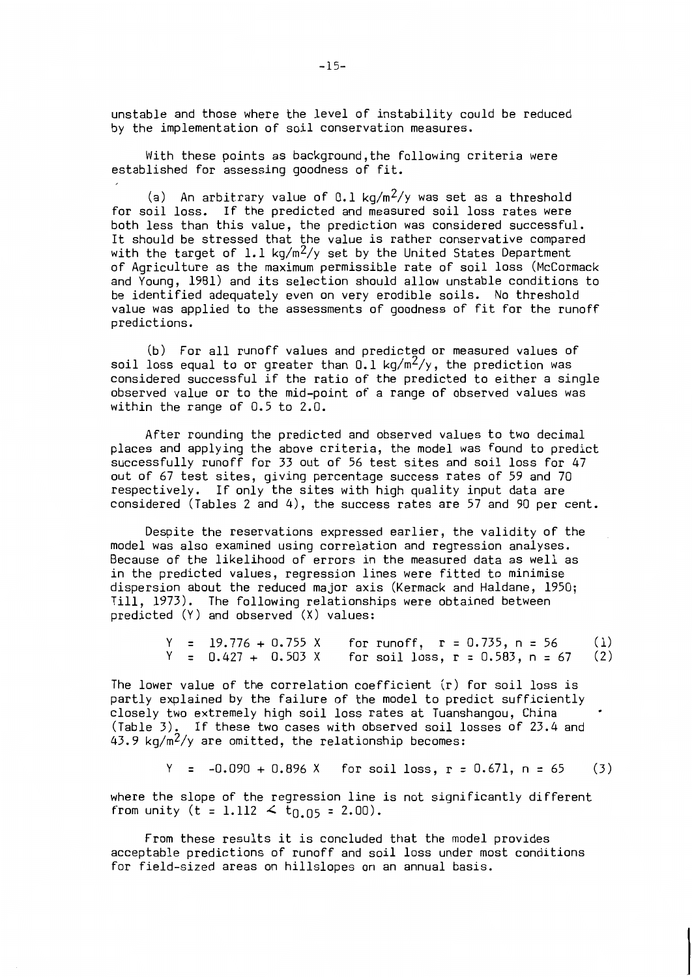unstable and those where the level of instability could be reduced by the implementation of soil conservation measures.

With these points as background, the following criteria were established for assessing goodness of fit.

(a) An arbitrary value of 0.1 kg/m<sup>2</sup>/y was set as a threshold for soil loss. If the predicted and measured soil loss rates were both less than this value, the prediction was considered successful. It should be stressed that the value is rather conservative compared with the target of 1.1  $\text{kg/m}^2/\text{y}$  set by the United States Department of Agriculture as the maximum permissible rate of soil loss (McCormack and Young, 1981) and its selection should allow unstable conditions to be identified adequately even on very erodible soils. No threshold value was applied to the assessments of goodness of fit for the runoff predictions.

(b) For all runoff values and predicted or measured values of soil loss equal to or greater than  $0.1 \text{ kg/m}^2/y$ , the prediction was<br>considered successful if the ratio of the predicted to either a single observed value or to the mid-point of a range of observed values was within the range of 0.5 to 2.0.

After rounding the predicted and observed values to two decimal places and applying the above criteria, the model was found to predict<br>successfully runoff for 33 out of 56 test sites and soil loss for 47 out of 67 test sites, giving percentage success rates of 59 and 70 respectively. If only the sites with high quality input data are considered (Tables 2 and 4), the success rates are 57 and 90 per cent.

Despite the reservations expressed earlier, the validity of the model was also examined using correlation and regression analyses. Because of the likelihood of errors in the measured data as well as in the predicted values, regression lines were fitted to minimise dispersion about the reduced major axis (Kermack and Haldane, 1950; Till, 1973). The following relationships were obtained between predicted  $(Y)$  and observed  $(X)$  values:

> $Y = 19.776 + 0.755 X$ for runoff,  $r = 0.735$ ,  $n = 56$  $(1)$  $Y = 0.427 + 0.503 X$ for soil loss,  $r = 0.583$ ,  $n = 67$  $(2)$

The lower value of the correlation coefficient  $(r)$  for soil loss is partly explained by the failure of the model to predict sufficiently closely two extremely high soil loss rates at Tuanshangou, China (Table 3). If these two cases with observed soil losses of 23.4 and  $43.9 \text{ kg/m}^2\text{/y}$  are omitted, the relationship becomes:

> $Y = -0.090 + 0.896 X$ for soil loss,  $r = 0.671$ ,  $n = 65$  $(3)$

where the slope of the regression line is not significantly different from unity (t = 1.112  $\leq$  t<sub>0.05</sub> = 2.00).

From these results it is concluded that the model provides acceptable predictions of runoff and soil loss under most conditions for field-sized areas on hillslopes on an annual basis.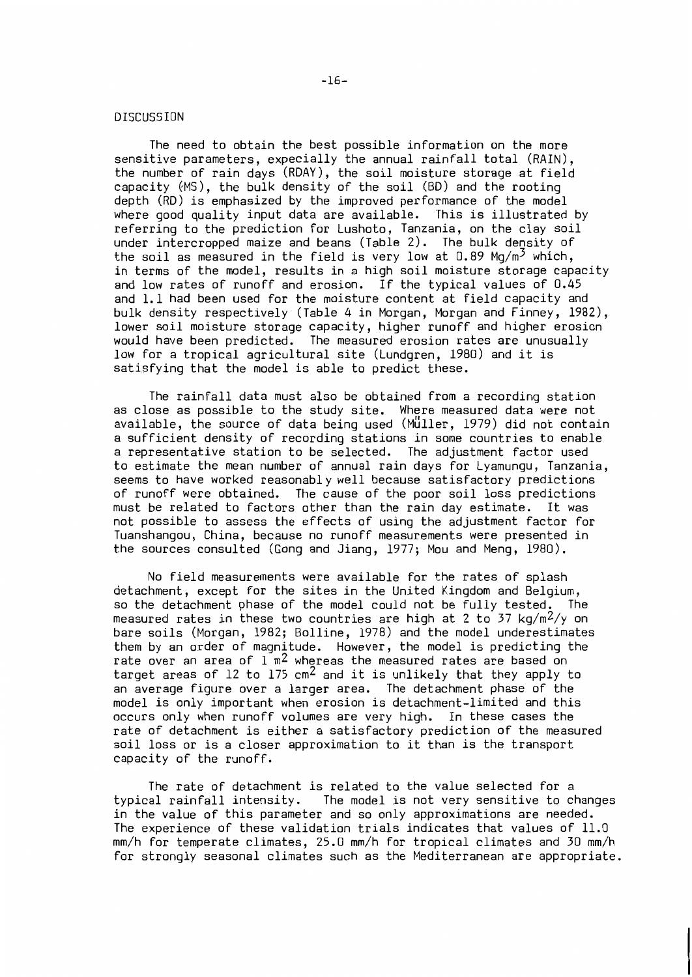#### DISCUSSION

The need to obtain the best possible information on the more sensitive parameters, expecially the annual rainfall total (RAIN), the number of rain days (RDAY), the soil moisture storage at field capacity (MS), the bulk density of the soil (BD) and the rooting depth (RD) is emphasized by the improved performance of the model where good quality input data are available. This is illustrated by referring to the prediction for Lushoto, Tanzania, on the clay soil under intercropped maize and beans (Table 2). The bulk density of the soil as measured in the field is very low at  $0.89 \text{ Mg/m}^3$  which, in terms of the model, results in a high soil moisture storage capacity and low rates of runoff and erosion. If the typical values of 0.45 and 1.1 had been used for the moisture content at field capacity and bulk density respectively (Table 4 in Morgan, Morgan and Finney, 1982), lower soil moisture storage capacity, higher runoff and higher erosion would have been predicted. The measured erosion rates are unusually low for a tropical agricultural site (Lundgren, 1980) and it is satisfying that the model is able to predict these.

The rainfall data must also be obtained from a recording station as close as possible to the study site. Where measured data were not available, the source of data being used (Müller, 1979) did not contain a sufficient density of recording stations in some countries to enable a representative station to be selected. The adjustment factor used to estimate the mean number of annual rain days for Lyamungu, Tanzania, seems to have worked reasonably well because satisfactory predictions of runoff were obtained. The cause of the poor soil loss predictions must be related to factors other than the rain day estimate. It was not possible to assess the effects of using the adjustment factor for Tuanshangou, China, because no runoff measurements were presented in the sources consulted (Gong and Jiang, 1977; Mou and Meng, 1980).

No field measurements were available for the rates of splash detachment, except for the sites in the United Kingdom and Belgium, so the detachment phase of the model could not be fully tested. The measured rates in these two countries are high at 2 to 37  $\text{kg/m}^2/\text{y}$  on bare soils (Morgan, 1982; Bolline, 1978) and the model underestimates them by an order of magnitude. However, the model is predicting the rate over an area of  $1 \text{ m}^2$  whereas the measured rates are based on target areas of 12 to  $175 \text{ cm}^2$  and it is unlikely that they apply to an average figure over a larger area. The detachment phase of the model is only important when erosion is detachment-limited and this occurs only when runoff volumes are very high. In these cases the rate of detachment is either a satisfactory prediction of the measured soil loss or is a closer approximation to it than is the transport capacity of the runoff.

The rate of detachment is related to the value selected for a typical rainfall intensity. The model is not very sensitive to changes in the value of this parameter and so only approximations are needed. The experience of these validation trials indicates that values of 11.0 mm/h for temperate climates, 25.0 mm/h for tropical climates and 30 mm/h for strongly seasonal climates such as the Mediterranean are appropriate.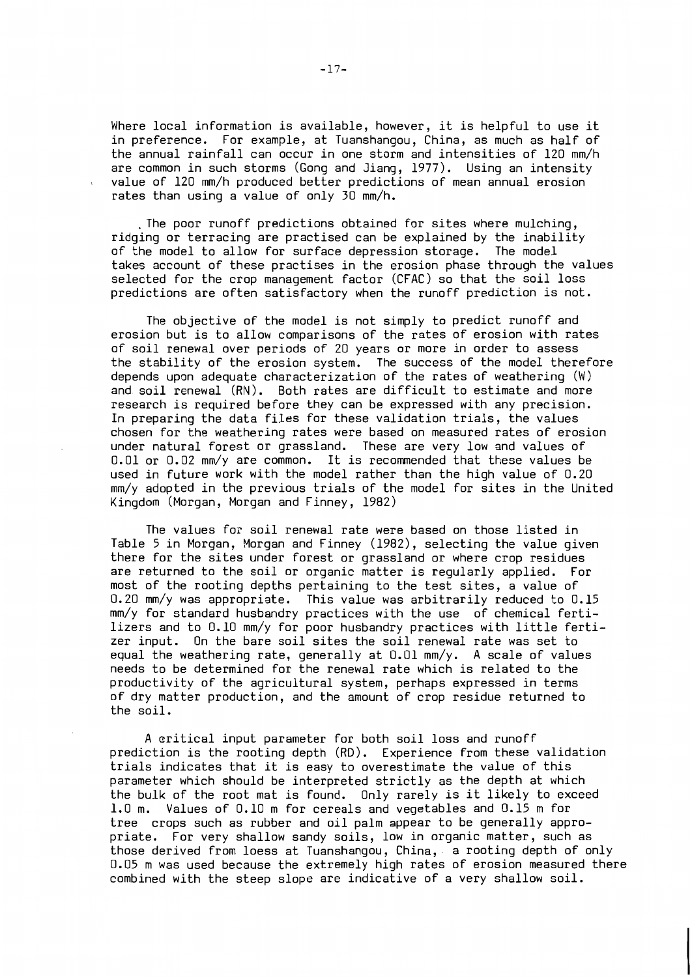Where local information is available, however, it is helpful to use it in preference. For example, at Tuanshangou, China, as much as half of the annual rainfall can occur in one storm and intensities of 120 mm/h are common in such storms (Gong and Jiang, 1977). Using an intensity value of 120 mm/h produced better predictions of mean annual erosion rates than using a value of only 30 mm/h.

. The poor runoff predictions obtained for sites where mulching, ridging or terracing are practised can be explained by the inability of the model to allow for surface depression storage. The model takes account of these practises in the erosion phase through the values selected for the crop management factor (CFAC) so that the soil loss predictions are often satisfactory when the runoff prediction is not.

The objective of the model is not simply to predict runoff and erosion but is to allow comparisons of the rates of erosion with rates of soil renewal over periods of 20 years or more in order to assess the stability of the erosion system. The success of the model therefore depends upon adequate characterization of the rates of weathering (W) and soil renewal (RN). Both rates are difficult to estimate and more research is required before they can be expressed with any precision. In preparing the data files for these validation trials, the values chosen for the weathering rates were based on measured rates of erosion under natural forest or grassland. These are very low and values of 0.01 or 0.02 mm/y are common. It is recommended that these values be used in future work with the model rather than the high value of 0.20 mm/y adopted in the previous trials of the model for sites in the United Kingdom (Morgan, Morgan and Finney, 1982)

The values for soil renewal rate were based on those listed in Table 5 in Morgan, Morgan and Finney (1982), selecting the value given there for the sites under forest or grassland or where crop residues are returned to the soil or organic matter is reqularly applied. For most of the rooting depths pertaining to the test sites, a value of 0.20 mm/y was appropriate. This value was arbitrarily reduced to 0.15 mm/y for standard husbandry practices with the use of chemical fertilizers and to 0.10 mm/y for poor husbandry practices with little fertizer input. On the bare soil sites the soil renewal rate was set to equal the weathering rate, generally at  $0.01$  mm/y. A scale of values needs to be determined for the renewal rate which is related to the productivity of the agricultural system, perhaps expressed in terms of dry matter production, and the amount of crop residue returned to the soil.

A critical input parameter for both soil loss and runoff prediction is the rooting depth (RD). Experience from these validation trials indicates that it is easy to overestimate the value of this parameter which should be interpreted strictly as the depth at which the bulk of the root mat is found. Only rarely is it likely to exceed Values of 0.10 m for cereals and vegetables and 0.15 m for  $1.0<sub>m</sub>$ . tree crops such as rubber and oil palm appear to be generally appropriate. For very shallow sandy soils, low in organic matter, such as those derived from loess at Tuanshangou, China, a rooting depth of only 0.05 m was used because the extremely high rates of erosion measured there combined with the steep slope are indicative of a very shallow soil.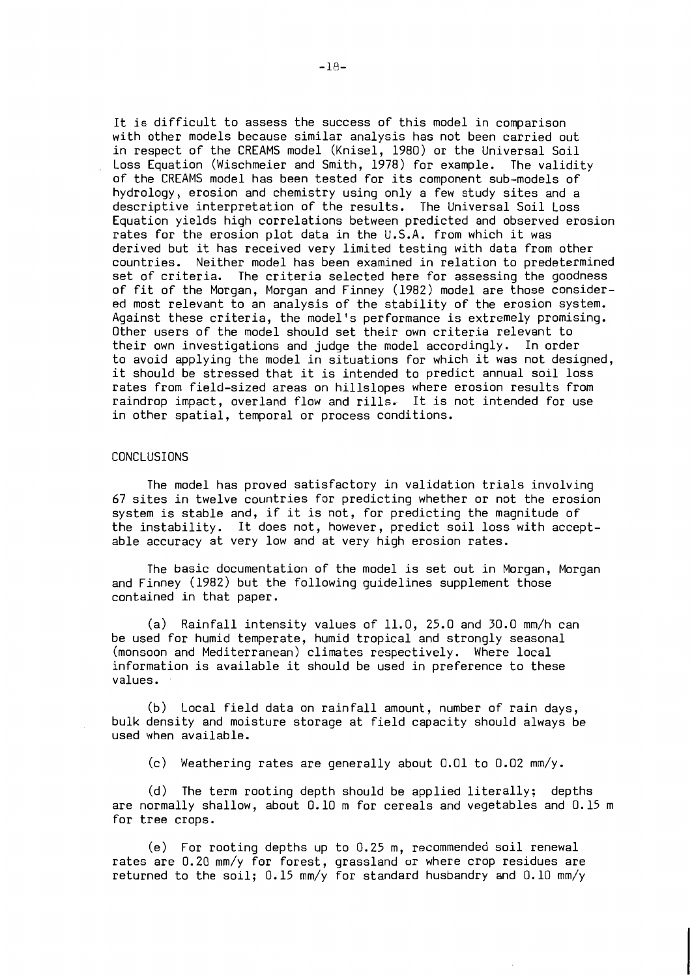It is difficult to assess the success of this model in comparison with other models because similar analysis has not been carried out in respect of the CREAMS model (Knisel, 1980) or the Universal Soil Loss Equation (Wischmeier and Smith, 1978) for example. The validity of the CREAMS model has been tested for its component sub-models of hydrology, erosion and chemistry using only a few study sites and a descriptive interpretation of the results. The Universal Soil Loss Equation yields high correlations between predicted and observed erosion rates for the erosion plot data in the U.S.A. from which it was derived but it has received very limited testing with data from other countries. Neither model has been examined in relation to predetermined set of criteria. The criteria selected here for assessing the goodness of fit of the Morgan, Morgan and Finney (1982) model are those considered most relevant to an analysis of the stability of the erosion system. Against these criteria, the model's performance is extremely promising. Other users of the model should set their own criteria relevant to their own investigations and judge the model accordingly. In order to avoid applying the model in situations for which it was not designed, it should be stressed that it is intended to predict annual soil loss rates from field-sized areas on hillslopes where erosion results from raindrop impact, overland flow and rills. It is not intended for use in other spatial, temporal or process conditions.

#### CONCLUSIONS

The model has proved satisfactory in validation trials involving 67 sites in twelve countries for predicting whether or not the erosion system is stable and, if it is not, for predicting the magnitude of the instability. It does not, however, predict soil loss with acceptable accuracy at very low and at very high erosion rates.

The basic documentation of the model is set out in Morgan, Morgan and Finney (1982) but the following quidelines supplement those contained in that paper.

(a) Rainfall intensity values of 11.0, 25.0 and 30.0 mm/h can be used for humid temperate, humid tropical and strongly seasonal (monsoon and Mediterranean) climates respectively. Where local information is available it should be used in preference to these values.

(b) Local field data on rainfall amount, number of rain days, bulk density and moisture storage at field capacity should always be used when available.

(c) Weathering rates are generally about 0.01 to 0.02 mm/y.

(d) The term rooting depth should be applied literally; depths are normally shallow, about 0.10 m for cereals and vegetables and 0.15 m for tree crops.

(e) For rooting depths up to 0.25 m, recommended soil renewal rates are 0.20 mm/y for forest, grassland or where crop residues are returned to the soil; 0.15 mm/y for standard husbandry and 0.10 mm/y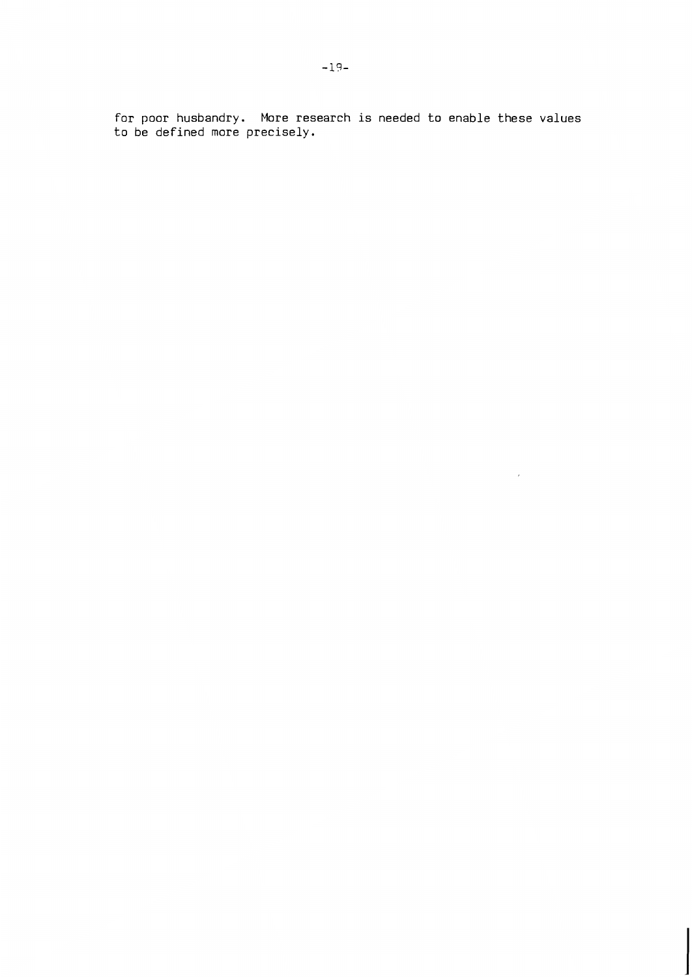for poor husbandry. More research is needed to enable these values<br>to be defined more precisely.

 $\overline{a}$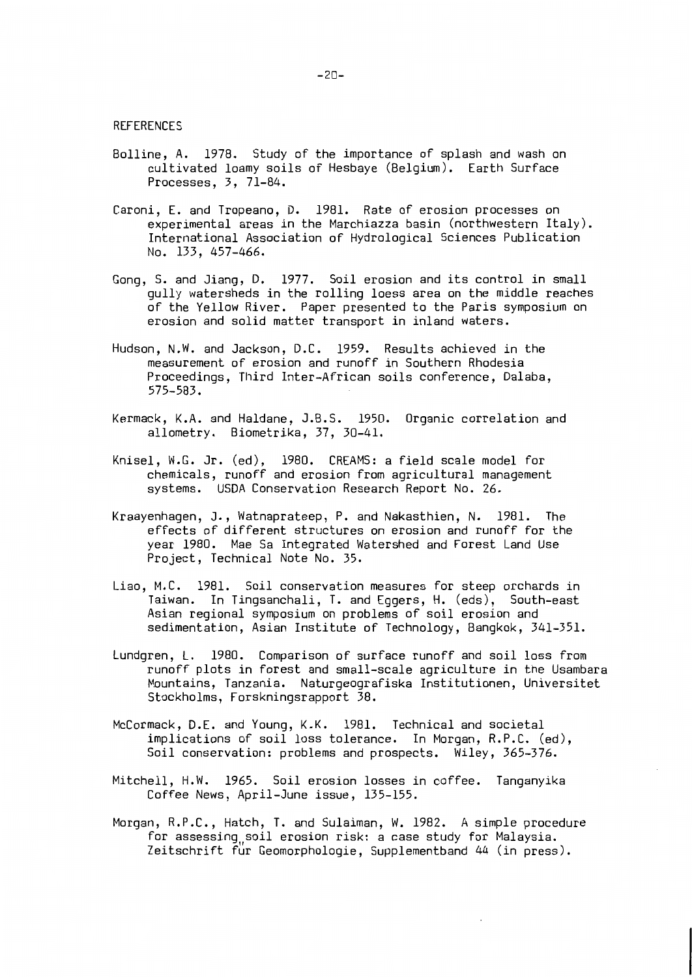**REFERENCES** 

- Bolline, A. 1978. Study of the importance of splash and wash on cultivated loamy soils of Hesbaye (Belgium). Earth Surface Processes, 3, 71-84.
- Caroni, E. and Tropeano, D. 1981. Rate of erosion processes on experimental areas in the Marchiazza basin (northwestern Italy). International Association of Hydrological Sciences Publication No. 133, 457-466.
- Gong, S. and Jiang, D. 1977. Soil erosion and its control in small qully watersheds in the rolling loess area on the middle reaches of the Yellow River. Paper presented to the Paris symposium on erosion and solid matter transport in inland waters.
- Hudson, N.W. and Jackson, D.C. 1959. Results achieved in the measurement of erosion and runoff in Southern Rhodesia Proceedings, Third Inter-African soils conference, Dalaba,  $575 - 583.$
- Kermack, K.A. and Haldane, J.B.S. 1950. Organic correlation and allometry. Biometrika, 37, 30-41.
- Knisel, W.G. Jr. (ed), 1980. CREAMS: a field scale model for chemicals, runoff and erosion from agricultural management systems. USDA Conservation Research Report No. 26.
- Kraayenhagen, J., Watnaprateep, P. and Nakasthien, N. 1981. The effects of different structures on erosion and runoff for the year 1980. Mae Sa Integrated Watershed and Forest Land Use Project, Technical Note No. 35.
- Liao, M.C. 1981. Soil conservation measures for steep orchards in Taiwan. In Tingsanchali, T. and Eggers, H. (eds), South-east Asian regional symposium on problems of soil erosion and sedimentation, Asian Institute of Technology, Bangkok, 341-351.
- Lundgren, L. 1980. Comparison of surface runoff and soil loss from runoff plots in forest and small-scale agriculture in the Usambara Mountains, Tanzania. Naturgeografiska Institutionen, Universitet Stockholms, Forskningsrapport 38.
- McCormack, D.E. and Young, K.K. 1981. Technical and societal implications of soil loss tolerance. In Morgan, R.P.C. (ed), Soil conservation: problems and prospects. Wiley, 365-376.
- Mitchell, H.W. 1965. Soil erosion losses in coffee. Tanganyika Coffee News, April-June issue, 135-155.
- Morgan, R.P.C., Hatch, T. and Sulaiman, W. 1982. A simple procedure for assessing soil erosion risk: a case study for Malaysia. Zeitschrift für Geomorphologie, Supplementband 44 (in press).